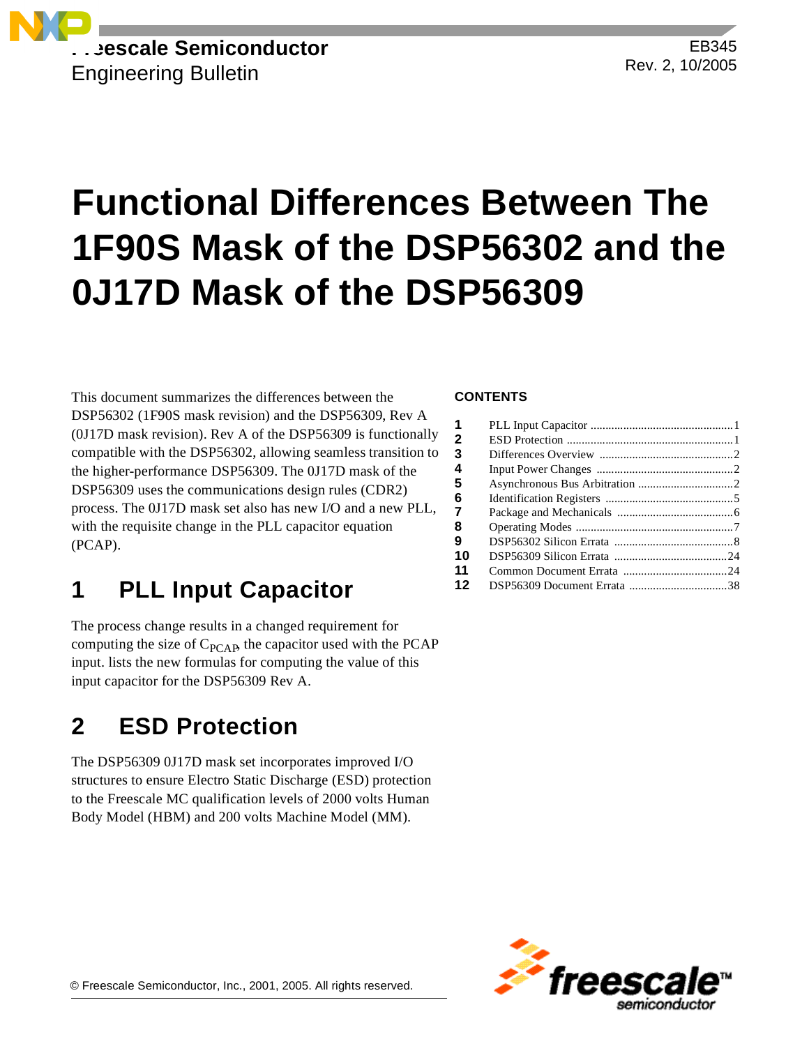

EB345 Rev. 2, 10/2005

# **Functional Differences Between The 1F90S Mask of the DSP56302 and the 0J17D Mask of the DSP56309**

This document summarizes the differences between the DSP56302 (1F90S mask revision) and the DSP56309, Rev A (0J17D mask revision). Rev A of the DSP56309 is functionally compatible with the DSP56302, allowing seamless transition to the higher-performance DSP56309. The 0J17D mask of the DSP56309 uses the communications design rules (CDR2) process. The 0J17D mask set also has new I/O and a new PLL, with the requisite change in the PLL capacitor equation (PCAP).

### **1 PLL Input Capacitor**

The process change results in a changed requirement for computing the size of  $C_{\text{PCAP}}$ , the capacitor used with the PCAP input. lists the new formulas for computing the value of this input capacitor for the DSP56309 Rev A.

### **2 ESD Protection**

The DSP56309 0J17D mask set incorporates improved I/O structures to ensure Electro Static Discharge (ESD) protection to the Freescale MC qualification levels of 2000 volts Human Body Model (HBM) and 200 volts Machine Model (MM).

### **CONTENTS**

| 1  |  |
|----|--|
| 2  |  |
| З  |  |
| 4  |  |
| 5  |  |
| 6  |  |
| 7  |  |
| 8  |  |
| 9  |  |
| 10 |  |
| 11 |  |
| 12 |  |

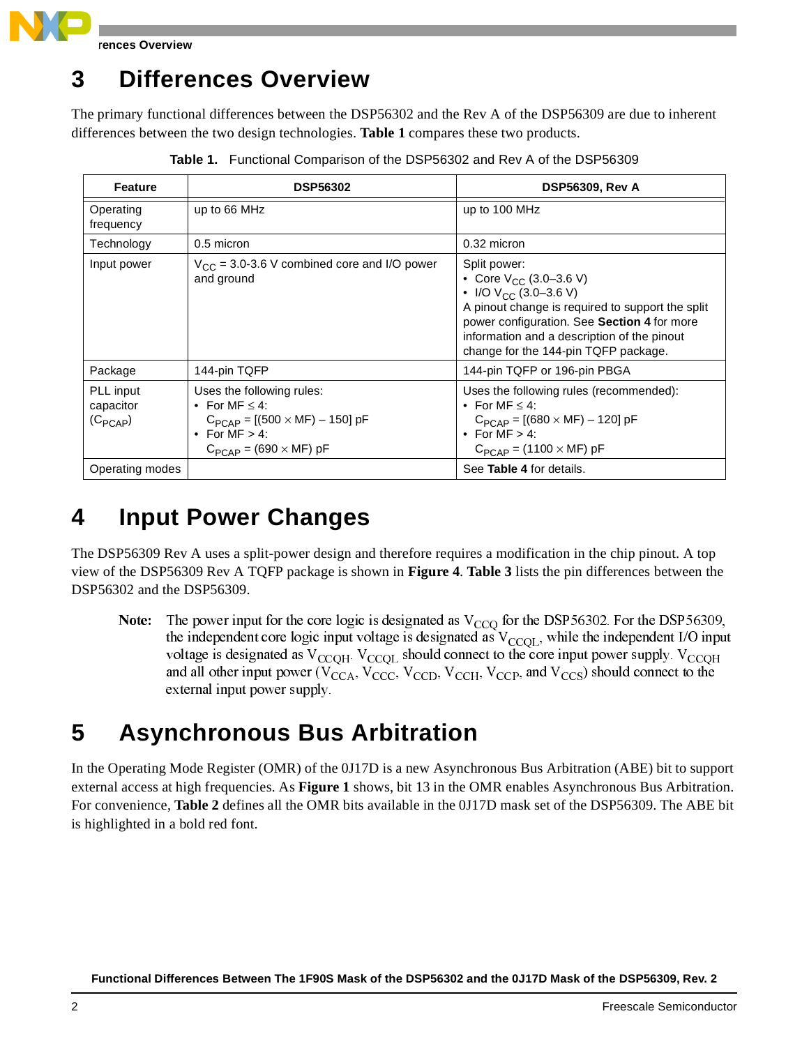

**rences Overview** 

### **3 Differences Overview**

The primary functional differences between the DSP56302 and the Rev A of the DSP56309 are due to inherent differences between the two design technologies. **[Table 1](#page-1-0)** compares these two products.

<span id="page-1-0"></span>

| Feature                                | <b>DSP56302</b>                                                                                                                                     | <b>DSP56309, Rev A</b>                                                                                                                                                                                                                                              |
|----------------------------------------|-----------------------------------------------------------------------------------------------------------------------------------------------------|---------------------------------------------------------------------------------------------------------------------------------------------------------------------------------------------------------------------------------------------------------------------|
| Operating<br>frequency                 | up to 66 MHz                                                                                                                                        | up to 100 MHz                                                                                                                                                                                                                                                       |
| Technology                             | 0.5 micron                                                                                                                                          | 0.32 micron                                                                                                                                                                                                                                                         |
| Input power                            | $V_{CC}$ = 3.0-3.6 V combined core and I/O power<br>and ground                                                                                      | Split power:<br>• Core $V_{CC}$ (3.0–3.6 V)<br>• I/O $V_{CC}$ (3.0–3.6 V)<br>A pinout change is required to support the split<br>power configuration. See Section 4 for more<br>information and a description of the pinout<br>change for the 144-pin TQFP package. |
| Package                                | 144-pin TQFP                                                                                                                                        | 144-pin TQFP or 196-pin PBGA                                                                                                                                                                                                                                        |
| PLL input<br>capacitor<br>$(C_{PCAP})$ | Uses the following rules:<br>• For MF $\leq$ 4:<br>$C_{PCAP} = [(500 \times MF) - 150] pF$<br>• For $MF > 4$ :<br>$C_{PCAP}$ = (690 $\times$ MF) pF | Uses the following rules (recommended):<br>• For MF $< 4$ :<br>$C_{PCAP} = [(680 \times MF) - 120] pF$<br>• For $MF > 4$ :<br>$C_{PCAP}$ = (1100 $\times$ MF) pF                                                                                                    |
| Operating modes                        |                                                                                                                                                     | See Table 4 for details.                                                                                                                                                                                                                                            |

**Table 1.** Functional Comparison of the DSP56302 and Rev A of the DSP56309

# <span id="page-1-1"></span>**4 Input Power Changes**

The DSP56309 Rev A uses a split-power design and therefore requires a modification in the chip pinout. A top view of the DSP56309 Rev A TQFP package is shown in **[Figure 4](#page-5-0)**. **[Table 3](#page-6-1)** lists the pin differences between the DSP56302 and the DSP56309.

Note: e: The power input for the core logic is designated as  $V_{CCQ}$  for the DSP56302. For the DSP56309, the independent core logic input voltage is designated as  $V_{CCQL}$ , while the independent I/O input voltage is designated as  $V_{CCQH}$ .  $V_{CCQL}$  should connect to the core input power supply.  $V_{CCQH}$ and all other input power ( $V_{\text{CCA}}$ ,  $V_{\text{CCC}}$ ,  $V_{\text{CCD}}$ ,  $V_{\text{CCH}}$ ,  $V_{\text{CCP}}$ , and  $V_{\text{CCS}}$ ) should connect to the external input power supply.

### **5 Asynchronous Bus Arbitration**

In the Operating Mode Register (OMR) of the 0J17D is a new Asynchronous Bus Arbitration (ABE) bit to support external access at high frequencies. As **[Figure 1](#page-2-0)** shows, bit 13 in the OMR enables Asynchronous Bus Arbitration. For convenience, **[Table 2](#page-2-1)** defines all the OMR bits available in the 0J17D mask set of the DSP56309. The ABE bit is highlighted in a bold red font.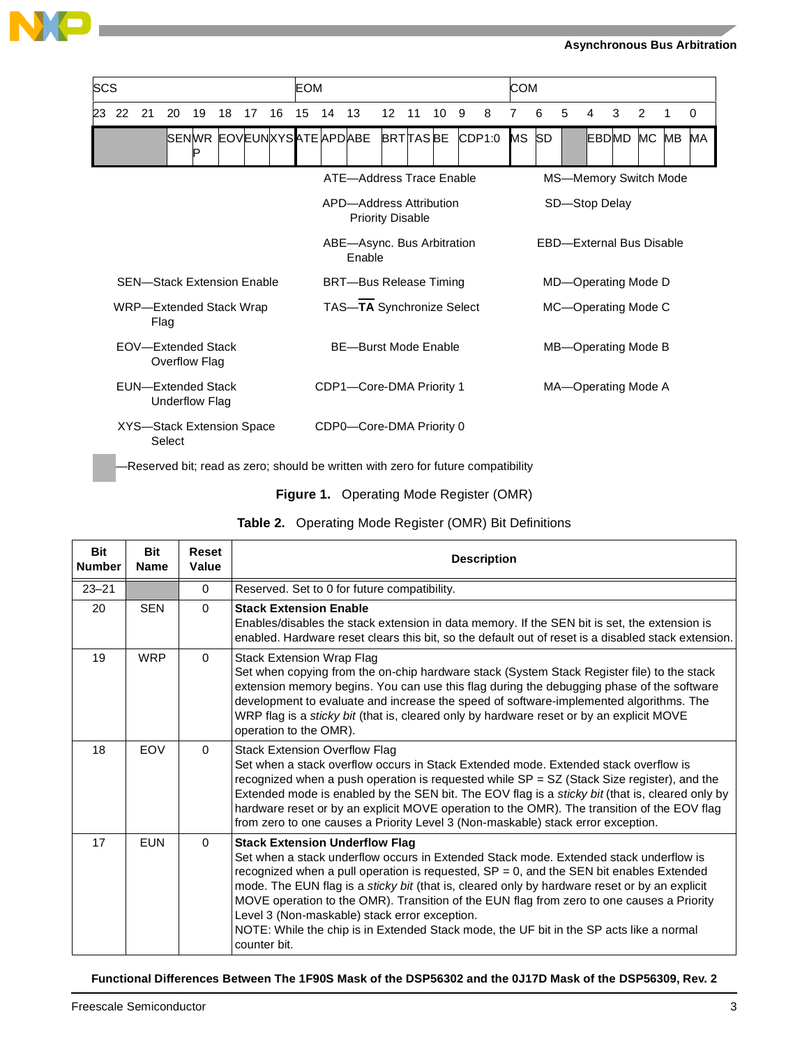

| SCS                                 |     |    |                                             |                             |    |    |    | EOM                                  |                         |                           |    |                 |    |                                 |               | COM |                     |   |   |                       |   |    |    |
|-------------------------------------|-----|----|---------------------------------------------|-----------------------------|----|----|----|--------------------------------------|-------------------------|---------------------------|----|-----------------|----|---------------------------------|---------------|-----|---------------------|---|---|-----------------------|---|----|----|
| 23                                  | -22 | 21 | 20                                          | 19                          | 18 | 17 | 16 | 15                                   | 14                      | 13                        | 12 | 11              | 10 | 9                               | 8             | 7   | 6                   | 5 | 4 | 3                     | 2 |    | 0  |
|                                     |     |    |                                             |                             |    |    |    |                                      |                         | SENWR EOVEUNXYSATE APDABE |    | <b>BRTTASBE</b> |    |                                 | CDP1:0        | MS  | <b>SD</b>           |   |   | EBDMD MC              |   | MB | МA |
|                                     |     |    |                                             |                             |    |    |    |                                      |                         | ATE-Address Trace Enable  |    |                 |    |                                 |               |     |                     |   |   | MS-Memory Switch Mode |   |    |    |
|                                     |     |    |                                             |                             |    |    |    |                                      | APD-Address Attribution | <b>Priority Disable</b>   |    |                 |    |                                 | SD-Stop Delay |     |                     |   |   |                       |   |    |    |
|                                     |     |    |                                             |                             |    |    |    | ABE-Async. Bus Arbitration<br>Enable |                         |                           |    |                 |    | <b>EBD-External Bus Disable</b> |               |     |                     |   |   |                       |   |    |    |
|                                     |     |    | <b>SEN-Stack Extension Enable</b>           |                             |    |    |    | <b>BRT-Bus Release Timing</b>        |                         |                           |    |                 |    | MD-Operating Mode D             |               |     |                     |   |   |                       |   |    |    |
|                                     |     |    | WRP-Extended Stack Wrap<br>Flag             |                             |    |    |    |                                      |                         | TAS-TA Synchronize Select |    |                 |    |                                 |               |     |                     |   |   | MC-Operating Mode C   |   |    |    |
| EOV-Extended Stack<br>Overflow Flag |     |    |                                             | <b>BE-Burst Mode Enable</b> |    |    |    |                                      | MB-Operating Mode B     |                           |    |                 |    |                                 |               |     |                     |   |   |                       |   |    |    |
|                                     |     |    | <b>EUN-Extended Stack</b><br>Underflow Flag |                             |    |    |    | CDP1-Core-DMA Priority 1             |                         |                           |    |                 |    |                                 |               |     | MA-Operating Mode A |   |   |                       |   |    |    |
|                                     |     |    | XYS-Stack Extension Space<br>Select         |                             |    |    |    |                                      |                         | CDP0-Core-DMA Priority 0  |    |                 |    |                                 |               |     |                     |   |   |                       |   |    |    |

—Reserved bit; read as zero; should be written with zero for future compatibility

<span id="page-2-1"></span><span id="page-2-0"></span>

| <b>Bit</b><br><b>Number</b> | <b>Bit</b><br><b>Name</b> | <b>Reset</b><br>Value | <b>Description</b>                                                                                                                                                                                                                                                                                                                                                                                                                                                                                                                                                                     |
|-----------------------------|---------------------------|-----------------------|----------------------------------------------------------------------------------------------------------------------------------------------------------------------------------------------------------------------------------------------------------------------------------------------------------------------------------------------------------------------------------------------------------------------------------------------------------------------------------------------------------------------------------------------------------------------------------------|
| $23 - 21$                   |                           | $\Omega$              | Reserved. Set to 0 for future compatibility.                                                                                                                                                                                                                                                                                                                                                                                                                                                                                                                                           |
| 20                          | <b>SEN</b>                | $\Omega$              | <b>Stack Extension Enable</b><br>Enables/disables the stack extension in data memory. If the SEN bit is set, the extension is<br>enabled. Hardware reset clears this bit, so the default out of reset is a disabled stack extension.                                                                                                                                                                                                                                                                                                                                                   |
| 19                          | <b>WRP</b>                | $\Omega$              | <b>Stack Extension Wrap Flag</b><br>Set when copying from the on-chip hardware stack (System Stack Register file) to the stack<br>extension memory begins. You can use this flag during the debugging phase of the software<br>development to evaluate and increase the speed of software-implemented algorithms. The<br>WRP flag is a <i>sticky bit</i> (that is, cleared only by hardware reset or by an explicit MOVE<br>operation to the OMR).                                                                                                                                     |
| 18                          | EOV                       | $\Omega$              | <b>Stack Extension Overflow Flag</b><br>Set when a stack overflow occurs in Stack Extended mode. Extended stack overflow is<br>recognized when a push operation is requested while $SP = SZ$ (Stack Size register), and the<br>Extended mode is enabled by the SEN bit. The EOV flag is a sticky bit (that is, cleared only by<br>hardware reset or by an explicit MOVE operation to the OMR). The transition of the EOV flag<br>from zero to one causes a Priority Level 3 (Non-maskable) stack error exception.                                                                      |
| 17                          | <b>FUN</b>                | $\Omega$              | <b>Stack Extension Underflow Flag</b><br>Set when a stack underflow occurs in Extended Stack mode. Extended stack underflow is<br>recognized when a pull operation is requested, $SP = 0$ , and the SEN bit enables Extended<br>mode. The EUN flag is a sticky bit (that is, cleared only by hardware reset or by an explicit<br>MOVE operation to the OMR). Transition of the EUN flag from zero to one causes a Priority<br>Level 3 (Non-maskable) stack error exception.<br>NOTE: While the chip is in Extended Stack mode, the UF bit in the SP acts like a normal<br>counter bit. |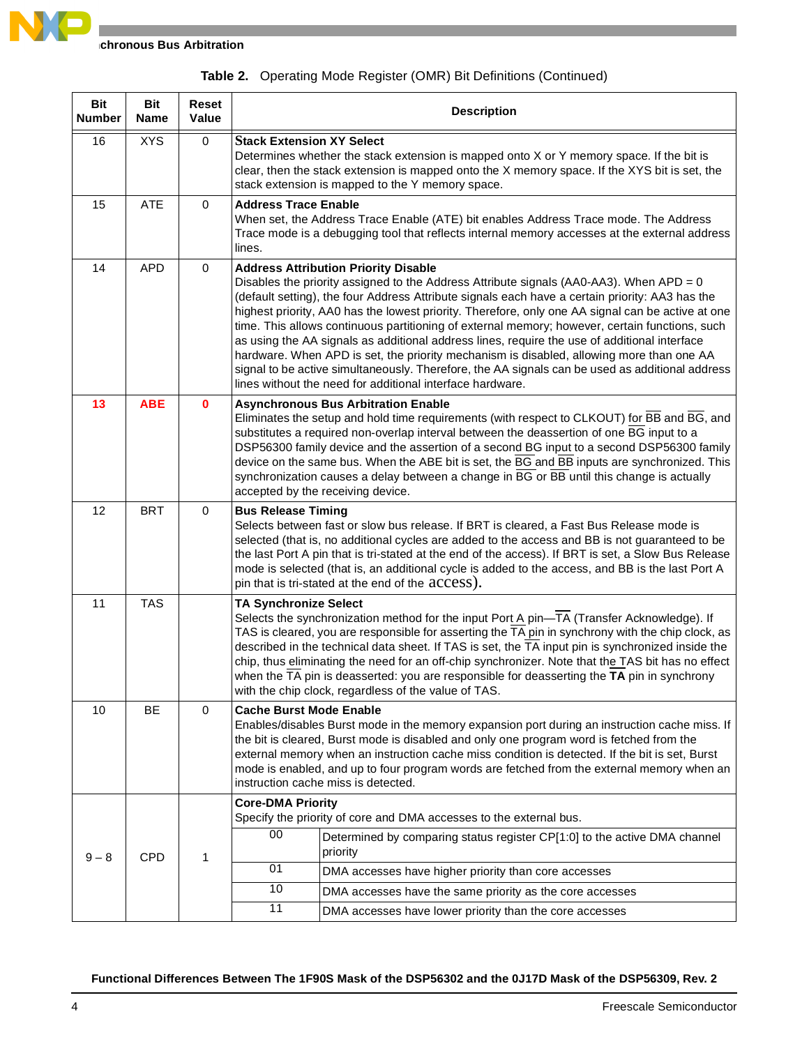| <b>Bit</b><br><b>Number</b> | <b>Bit</b><br>Name | Reset<br>Value | <b>Description</b>                                                                                                                                                                                                                                                                                                                                                                                                                                                                                                                                                                                                                                                                                                                                                                                           |  |  |  |  |  |  |  |
|-----------------------------|--------------------|----------------|--------------------------------------------------------------------------------------------------------------------------------------------------------------------------------------------------------------------------------------------------------------------------------------------------------------------------------------------------------------------------------------------------------------------------------------------------------------------------------------------------------------------------------------------------------------------------------------------------------------------------------------------------------------------------------------------------------------------------------------------------------------------------------------------------------------|--|--|--|--|--|--|--|
| 16                          | <b>XYS</b>         | $\pmb{0}$      | <b>Stack Extension XY Select</b><br>Determines whether the stack extension is mapped onto X or Y memory space. If the bit is<br>clear, then the stack extension is mapped onto the X memory space. If the XYS bit is set, the<br>stack extension is mapped to the Y memory space.                                                                                                                                                                                                                                                                                                                                                                                                                                                                                                                            |  |  |  |  |  |  |  |
| 15                          | ATE                | 0              | <b>Address Trace Enable</b><br>When set, the Address Trace Enable (ATE) bit enables Address Trace mode. The Address<br>Trace mode is a debugging tool that reflects internal memory accesses at the external address<br>lines.                                                                                                                                                                                                                                                                                                                                                                                                                                                                                                                                                                               |  |  |  |  |  |  |  |
| 14                          | <b>APD</b>         | 0              | <b>Address Attribution Priority Disable</b><br>Disables the priority assigned to the Address Attribute signals (AA0-AA3). When APD = 0<br>(default setting), the four Address Attribute signals each have a certain priority: AA3 has the<br>highest priority, AA0 has the lowest priority. Therefore, only one AA signal can be active at one<br>time. This allows continuous partitioning of external memory; however, certain functions, such<br>as using the AA signals as additional address lines, require the use of additional interface<br>hardware. When APD is set, the priority mechanism is disabled, allowing more than one AA<br>signal to be active simultaneously. Therefore, the AA signals can be used as additional address<br>lines without the need for additional interface hardware. |  |  |  |  |  |  |  |
| 13                          | <b>ABE</b>         | $\mathbf{0}$   | <b>Asynchronous Bus Arbitration Enable</b><br>Eliminates the setup and hold time requirements (with respect to CLKOUT) for BB and BG, and<br>substitutes a required non-overlap interval between the deassertion of one BG input to a<br>DSP56300 family device and the assertion of a second BG input to a second DSP56300 family<br>device on the same bus. When the ABE bit is set, the BG and BB inputs are synchronized. This<br>synchronization causes a delay between a change in BG or BB until this change is actually<br>accepted by the receiving device.                                                                                                                                                                                                                                         |  |  |  |  |  |  |  |
| 12                          | <b>BRT</b>         | 0              | <b>Bus Release Timing</b><br>Selects between fast or slow bus release. If BRT is cleared, a Fast Bus Release mode is<br>selected (that is, no additional cycles are added to the access and BB is not guaranteed to be<br>the last Port A pin that is tri-stated at the end of the access). If BRT is set, a Slow Bus Release<br>mode is selected (that is, an additional cycle is added to the access, and BB is the last Port A<br>pin that is tri-stated at the end of the access).                                                                                                                                                                                                                                                                                                                       |  |  |  |  |  |  |  |
| 11                          | <b>TAS</b>         |                | <b>TA Synchronize Select</b><br>Selects the synchronization method for the input Port A pin $-\overline{1A}$ (Transfer Acknowledge). If<br>TAS is cleared, you are responsible for asserting the TA pin in synchrony with the chip clock, as<br>described in the technical data sheet. If TAS is set, the TA input pin is synchronized inside the<br>chip, thus eliminating the need for an off-chip synchronizer. Note that the TAS bit has no effect<br>when the TA pin is deasserted: you are responsible for deasserting the TA pin in synchrony<br>with the chip clock, regardless of the value of TAS.                                                                                                                                                                                                 |  |  |  |  |  |  |  |
| 10                          | BE                 | $\mathbf 0$    | <b>Cache Burst Mode Enable</b><br>Enables/disables Burst mode in the memory expansion port during an instruction cache miss. If<br>the bit is cleared, Burst mode is disabled and only one program word is fetched from the<br>external memory when an instruction cache miss condition is detected. If the bit is set, Burst<br>mode is enabled, and up to four program words are fetched from the external memory when an<br>instruction cache miss is detected.                                                                                                                                                                                                                                                                                                                                           |  |  |  |  |  |  |  |
|                             |                    |                | <b>Core-DMA Priority</b><br>Specify the priority of core and DMA accesses to the external bus.                                                                                                                                                                                                                                                                                                                                                                                                                                                                                                                                                                                                                                                                                                               |  |  |  |  |  |  |  |
| $9 - 8$                     | <b>CPD</b>         | 1              | 00<br>Determined by comparing status register CP[1:0] to the active DMA channel<br>priority                                                                                                                                                                                                                                                                                                                                                                                                                                                                                                                                                                                                                                                                                                                  |  |  |  |  |  |  |  |
|                             |                    |                | 01<br>DMA accesses have higher priority than core accesses                                                                                                                                                                                                                                                                                                                                                                                                                                                                                                                                                                                                                                                                                                                                                   |  |  |  |  |  |  |  |
|                             |                    |                | 10<br>DMA accesses have the same priority as the core accesses                                                                                                                                                                                                                                                                                                                                                                                                                                                                                                                                                                                                                                                                                                                                               |  |  |  |  |  |  |  |
|                             |                    |                | 11<br>DMA accesses have lower priority than the core accesses                                                                                                                                                                                                                                                                                                                                                                                                                                                                                                                                                                                                                                                                                                                                                |  |  |  |  |  |  |  |

### **Table 2.** Operating Mode Register (OMR) Bit Definitions (Continued)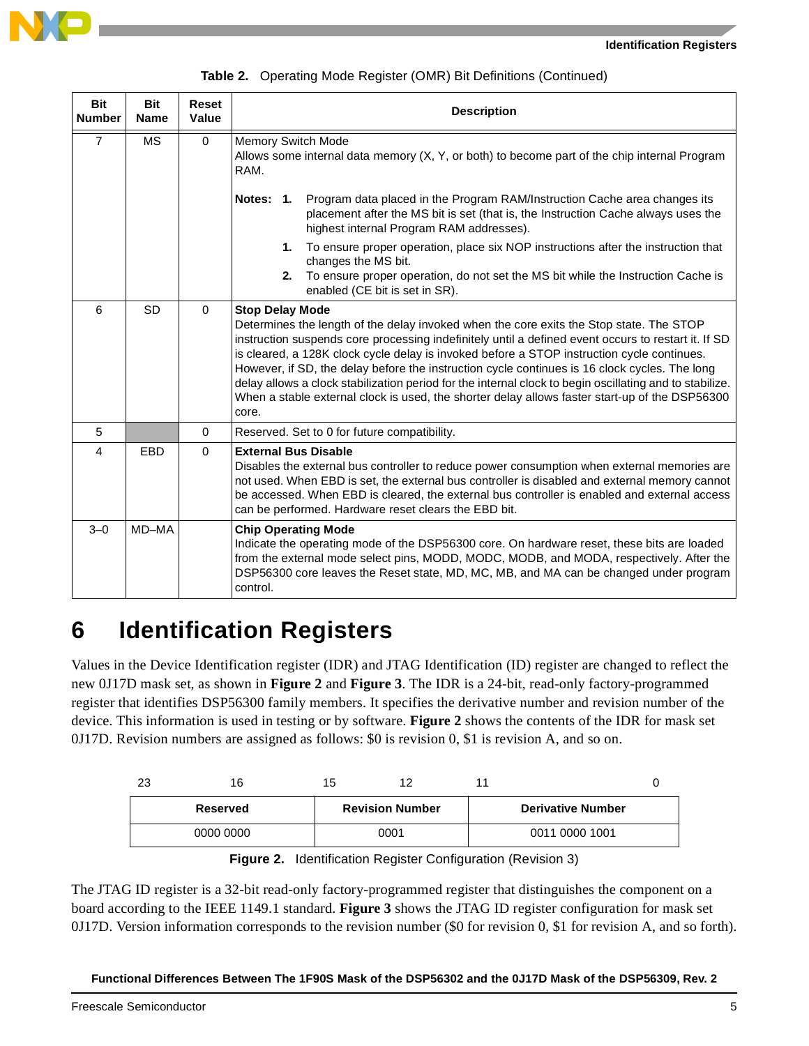

|  |  | Table 2. Operating Mode Register (OMR) Bit Definitions (Continued) |  |  |  |
|--|--|--------------------------------------------------------------------|--|--|--|
|--|--|--------------------------------------------------------------------|--|--|--|

| <b>Bit</b><br><b>Number</b> | <b>Bit</b><br><b>Name</b> | <b>Reset</b><br><b>Value</b> | <b>Description</b>                                                                                                                                                                                                                                                                                                                                                                                                                                                                                                                                                                                                                            |  |  |  |  |  |  |
|-----------------------------|---------------------------|------------------------------|-----------------------------------------------------------------------------------------------------------------------------------------------------------------------------------------------------------------------------------------------------------------------------------------------------------------------------------------------------------------------------------------------------------------------------------------------------------------------------------------------------------------------------------------------------------------------------------------------------------------------------------------------|--|--|--|--|--|--|
| $\overline{7}$              | <b>MS</b>                 | $\Omega$                     | <b>Memory Switch Mode</b><br>Allows some internal data memory (X, Y, or both) to become part of the chip internal Program<br>RAM.                                                                                                                                                                                                                                                                                                                                                                                                                                                                                                             |  |  |  |  |  |  |
|                             |                           |                              | Notes: 1.<br>Program data placed in the Program RAM/Instruction Cache area changes its<br>placement after the MS bit is set (that is, the Instruction Cache always uses the<br>highest internal Program RAM addresses).                                                                                                                                                                                                                                                                                                                                                                                                                       |  |  |  |  |  |  |
|                             |                           |                              | To ensure proper operation, place six NOP instructions after the instruction that<br>1.<br>changes the MS bit.<br>2.<br>To ensure proper operation, do not set the MS bit while the Instruction Cache is<br>enabled (CE bit is set in SR).                                                                                                                                                                                                                                                                                                                                                                                                    |  |  |  |  |  |  |
| 6                           | <b>SD</b>                 | $\Omega$                     | <b>Stop Delay Mode</b><br>Determines the length of the delay invoked when the core exits the Stop state. The STOP<br>instruction suspends core processing indefinitely until a defined event occurs to restart it. If SD<br>is cleared, a 128K clock cycle delay is invoked before a STOP instruction cycle continues.<br>However, if SD, the delay before the instruction cycle continues is 16 clock cycles. The long<br>delay allows a clock stabilization period for the internal clock to begin oscillating and to stabilize.<br>When a stable external clock is used, the shorter delay allows faster start-up of the DSP56300<br>core. |  |  |  |  |  |  |
| 5                           |                           | $\Omega$                     | Reserved. Set to 0 for future compatibility.                                                                                                                                                                                                                                                                                                                                                                                                                                                                                                                                                                                                  |  |  |  |  |  |  |
| $\overline{4}$              | EBD                       | $\Omega$                     | <b>External Bus Disable</b><br>Disables the external bus controller to reduce power consumption when external memories are<br>not used. When EBD is set, the external bus controller is disabled and external memory cannot<br>be accessed. When EBD is cleared, the external bus controller is enabled and external access<br>can be performed. Hardware reset clears the EBD bit.                                                                                                                                                                                                                                                           |  |  |  |  |  |  |
| $3 - 0$                     | MD-MA                     |                              | <b>Chip Operating Mode</b><br>Indicate the operating mode of the DSP56300 core. On hardware reset, these bits are loaded<br>from the external mode select pins, MODD, MODC, MODB, and MODA, respectively. After the<br>DSP56300 core leaves the Reset state, MD, MC, MB, and MA can be changed under program<br>control.                                                                                                                                                                                                                                                                                                                      |  |  |  |  |  |  |

### **6 Identification Registers**

Values in the Device Identification register (IDR) and JTAG Identification (ID) register are changed to reflect the new 0J17D mask set, as shown in **[Figure 2](#page-4-0)** and **[Figure 3](#page-5-1)**. The IDR is a 24-bit, read-only factory-programmed register that identifies DSP56300 family members. It specifies the derivative number and revision number of the device. This information is used in testing or by software. **[Figure 2](#page-4-0)** shows the contents of the IDR for mask set 0J17D. Revision numbers are assigned as follows: \$0 is revision 0, \$1 is revision A, and so on.

| 23 | 16        | 15 |                        |                          |  |
|----|-----------|----|------------------------|--------------------------|--|
|    | Reserved  |    | <b>Revision Number</b> | <b>Derivative Number</b> |  |
|    | 0000 0000 |    | 0001                   | 0011 0000 1001           |  |

|  |  |  | Figure 2. Identification Register Configuration (Revision 3) |  |  |
|--|--|--|--------------------------------------------------------------|--|--|
|--|--|--|--------------------------------------------------------------|--|--|

<span id="page-4-0"></span>The JTAG ID register is a 32-bit read-only factory-programmed register that distinguishes the component on a board according to the IEEE 1149.1 standard. **[Figure 3](#page-5-1)** shows the JTAG ID register configuration for mask set 0J17D. Version information corresponds to the revision number (\$0 for revision 0, \$1 for revision A, and so forth).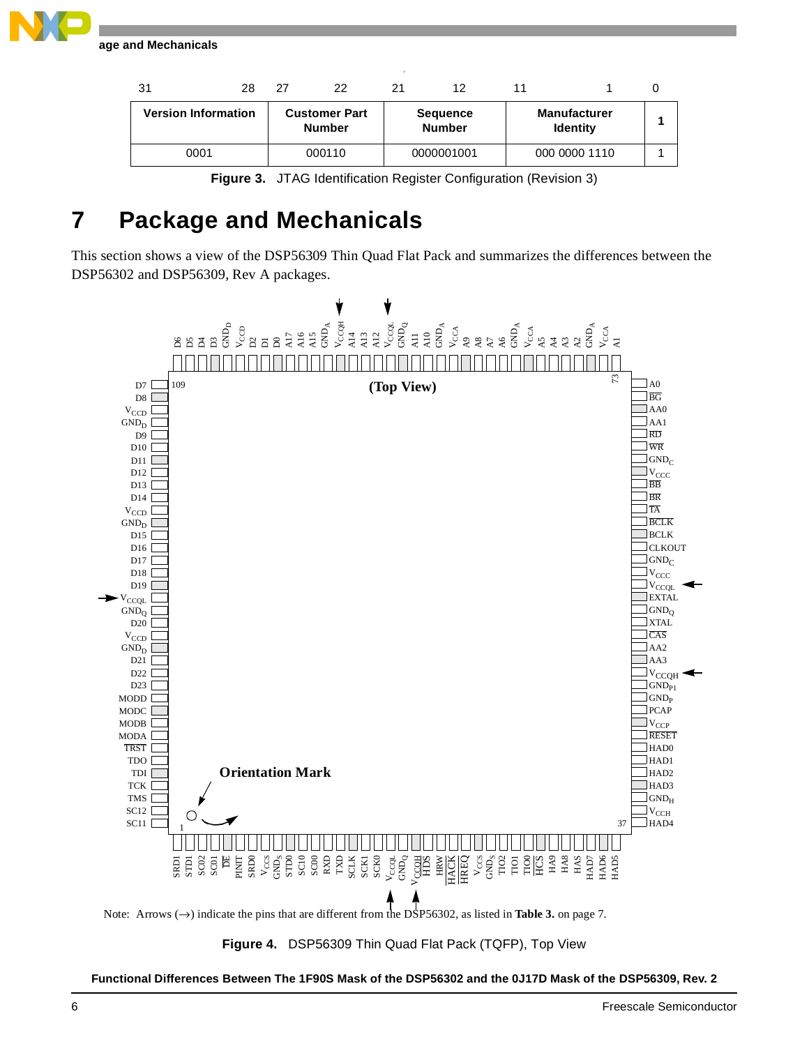**Package and Mechanicals**

| 31                         | 28 | 27                                    | 22     | 21                               | 12                                     |               |  |
|----------------------------|----|---------------------------------------|--------|----------------------------------|----------------------------------------|---------------|--|
| <b>Version Information</b> |    | <b>Customer Part</b><br><b>Number</b> |        | <b>Sequence</b><br><b>Number</b> | <b>Manufacturer</b><br><b>Identity</b> |               |  |
| 0001                       |    |                                       | 000110 |                                  | 0000001001                             | 000 0000 1110 |  |



### <span id="page-5-1"></span>**7 Package and Mechanicals**

This section shows a view of the DSP56309 Thin Quad Flat Pack and summarizes the differences between the DSP56302 and DSP56309, Rev A packages.



<span id="page-5-0"></span>**Figure 4.** DSP56309 Thin Quad Flat Pack (TQFP), Top View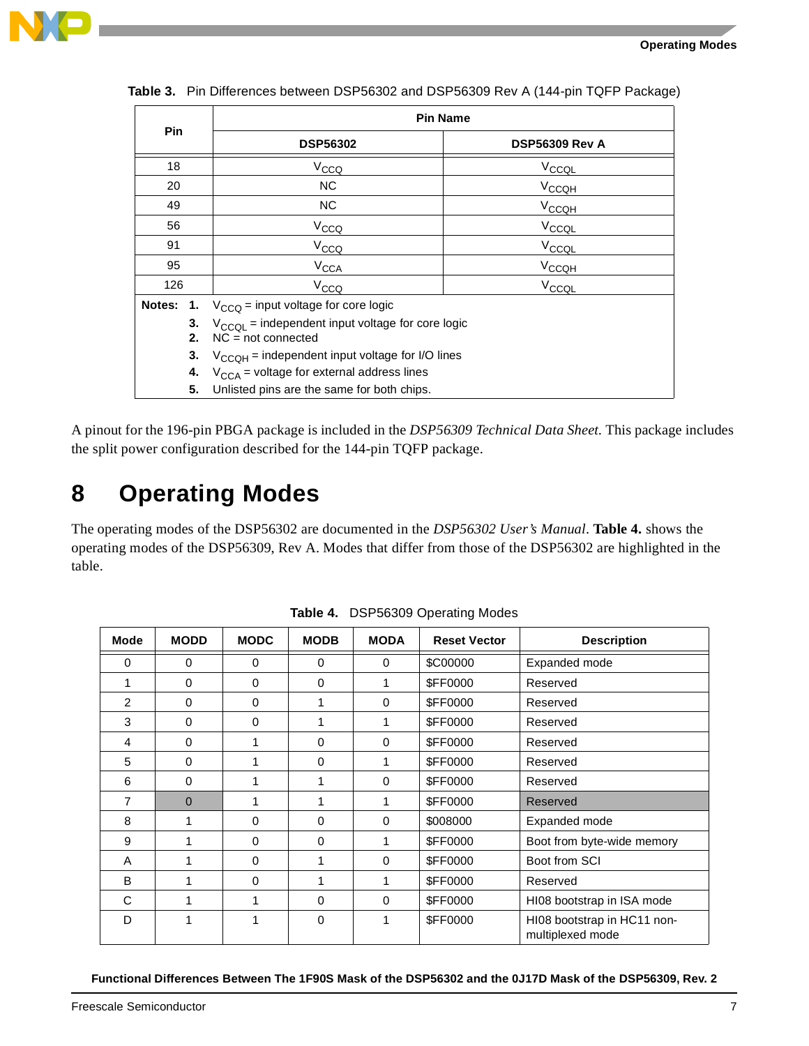

|        | <b>Pin Name</b>                                                                         |                       |
|--------|-----------------------------------------------------------------------------------------|-----------------------|
| Pin    | <b>DSP56302</b>                                                                         | <b>DSP56309 Rev A</b> |
| 18     | V <sub>CCQ</sub>                                                                        | V <sub>CCQL</sub>     |
| 20     | NC.                                                                                     | V <sub>CCQH</sub>     |
| 49     | NC.                                                                                     | V <sub>CCQH</sub>     |
| 56     | V <sub>CCQ</sub>                                                                        | V <sub>CCQL</sub>     |
| 91     | V <sub>CCQ</sub>                                                                        | V <sub>CCQL</sub>     |
| 95     | <b>V<sub>CCA</sub></b>                                                                  | V <sub>CCQH</sub>     |
| 126    | V <sub>CCQ</sub>                                                                        | V <sub>CCQL</sub>     |
| Notes: | 1. $V_{CCQ}$ = input voltage for core logic                                             |                       |
| 2.     | 3. $V_{\text{CCQL}}$ = independent input voltage for core logic<br>$NC = not connected$ |                       |
|        | 3. $V_{CCOH}$ = independent input voltage for I/O lines                                 |                       |
| 4.     | $V_{\text{CCA}}$ = voltage for external address lines                                   |                       |
| 5.     | Unlisted pins are the same for both chips.                                              |                       |

<span id="page-6-1"></span>**Table 3.** Pin Differences between DSP56302 and DSP56309 Rev A (144-pin TQFP Package)

A pinout for the 196-pin PBGA package is included in the *DSP56309 Technical Data Sheet.* This package includes the split power configuration described for the 144-pin TQFP package.

# **8 Operating Modes**

The operating modes of the DSP56302 are documented in the *DSP56302 User's Manual*. **[Table 4.](#page-6-0)** shows the operating modes of the DSP56309, Rev A. Modes that differ from those of the DSP56302 are highlighted in the table.

<span id="page-6-0"></span>

| <b>Mode</b>    | <b>MODD</b> | <b>MODC</b> | <b>MODB</b> | <b>MODA</b> | <b>Reset Vector</b> | <b>Description</b>                              |
|----------------|-------------|-------------|-------------|-------------|---------------------|-------------------------------------------------|
| 0              | $\mathbf 0$ | 0           | $\Omega$    | $\Omega$    | \$C00000            | Expanded mode                                   |
|                | 0           | 0           | 0           |             | <b>\$FF0000</b>     | Reserved                                        |
| 2              | $\Omega$    | $\Omega$    | 1           | $\Omega$    | <b>\$FF0000</b>     | Reserved                                        |
| 3              | $\Omega$    | 0           | 1           | 1           | <b>\$FF0000</b>     | Reserved                                        |
| 4              | 0           | 1           | 0           | 0           | <b>\$FF0000</b>     | Reserved                                        |
| 5              | $\Omega$    |             | $\Omega$    | 1           | <b>\$FF0000</b>     | Reserved                                        |
| 6              | $\Omega$    | 1           | 1           | 0           | <b>\$FF0000</b>     | Reserved                                        |
| $\overline{7}$ | $\Omega$    |             | 1           |             | <b>\$FF0000</b>     | Reserved                                        |
| 8              |             | 0           | 0           | $\Omega$    | \$008000            | Expanded mode                                   |
| 9              |             | $\Omega$    | $\Omega$    | 1           | <b>\$FF0000</b>     | Boot from byte-wide memory                      |
| A              |             | 0           | 1           | 0           | <b>\$FF0000</b>     | Boot from SCI                                   |
| B              |             | 0           | 1           | 1           | <b>\$FF0000</b>     | Reserved                                        |
| С              |             | 1           | $\Omega$    | $\Omega$    | <b>\$FF0000</b>     | HI08 bootstrap in ISA mode                      |
| D              |             |             | 0           |             | <b>\$FF0000</b>     | HI08 bootstrap in HC11 non-<br>multiplexed mode |

**Table 4.** DSP56309 Operating Modes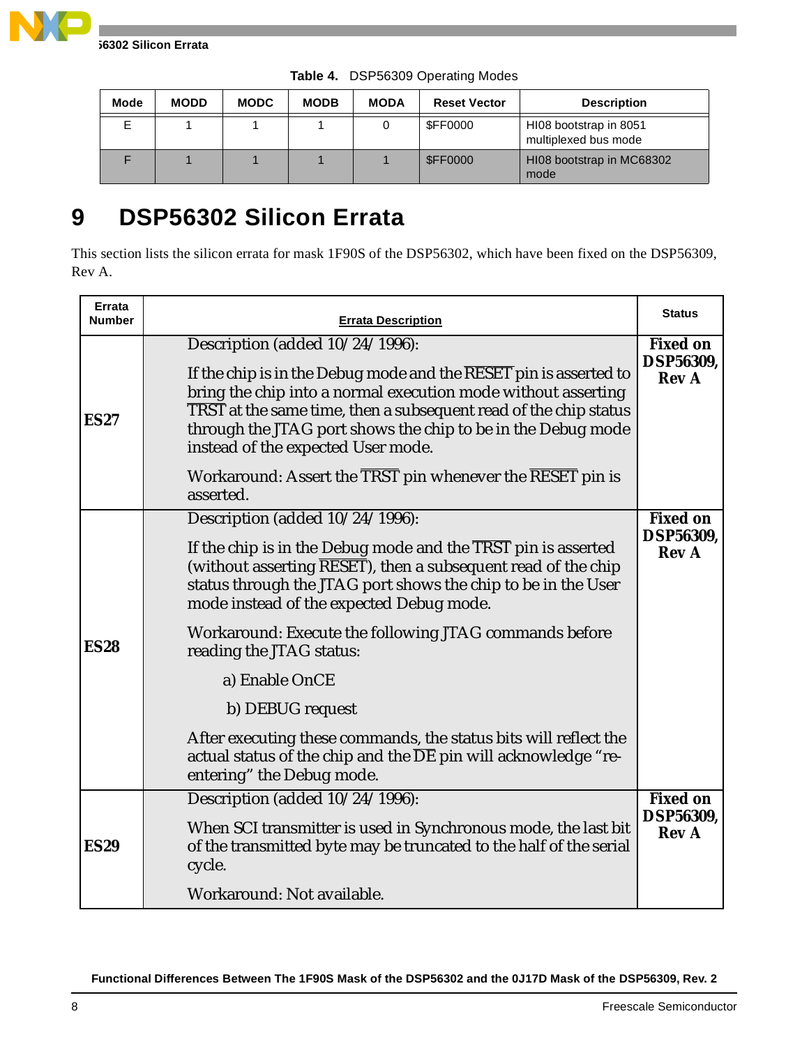

| <b>Mode</b> | <b>MODD</b> | <b>MODC</b> | <b>MODB</b> | <b>MODA</b> | <b>Reset Vector</b> | <b>Description</b>                             |
|-------------|-------------|-------------|-------------|-------------|---------------------|------------------------------------------------|
|             |             |             |             |             | \$FF0000            | HI08 bootstrap in 8051<br>multiplexed bus mode |
|             |             |             |             |             | <b>\$FF0000</b>     | HI08 bootstrap in MC68302<br>mode              |

**Table 4.** DSP56309 Operating Modes

# **9 DSP56302 Silicon Errata**

This section lists the silicon errata for mask 1F90S of the DSP56302, which have been fixed on the DSP56309, Rev A.

| Errata<br><b>Number</b> | <b>Errata Description</b>                                                                                                                                                                                                                                                                                                                                                                                                                                                                                                                                                                      | <b>Status</b>                                       |
|-------------------------|------------------------------------------------------------------------------------------------------------------------------------------------------------------------------------------------------------------------------------------------------------------------------------------------------------------------------------------------------------------------------------------------------------------------------------------------------------------------------------------------------------------------------------------------------------------------------------------------|-----------------------------------------------------|
| <b>ES27</b>             | Description (added 10/24/1996):<br>If the chip is in the Debug mode and the $\overline{\text{RESET}}$ pin is asserted to<br>bring the chip into a normal execution mode without asserting<br>TRST at the same time, then a subsequent read of the chip status<br>through the JTAG port shows the chip to be in the Debug mode<br>instead of the expected User mode.<br>Workaround: Assert the TRST pin whenever the RESET pin is<br>asserted.                                                                                                                                                  | <b>Fixed on</b><br><b>DSP56309,</b><br><b>Rev A</b> |
| <b>ES28</b>             | Description (added 10/24/1996):<br>If the chip is in the Debug mode and the TRST pin is asserted<br>(without asserting RESET), then a subsequent read of the chip<br>status through the JTAG port shows the chip to be in the User<br>mode instead of the expected Debug mode.<br>Workaround: Execute the following JTAG commands before<br>reading the JTAG status:<br>a) Enable OnCE<br>b) DEBUG request<br>After executing these commands, the status bits will reflect the<br>actual status of the chip and the $\overline{\rm DE}$ pin will acknowledge "re-<br>entering" the Debug mode. | <b>Fixed on</b><br><b>DSP56309.</b><br><b>Rev A</b> |
| <b>ES29</b>             | Description (added 10/24/1996):<br>When SCI transmitter is used in Synchronous mode, the last bit<br>of the transmitted byte may be truncated to the half of the serial<br>cycle.<br>Workaround: Not available.                                                                                                                                                                                                                                                                                                                                                                                | <b>Fixed on</b><br><b>DSP56309,</b><br><b>Rev A</b> |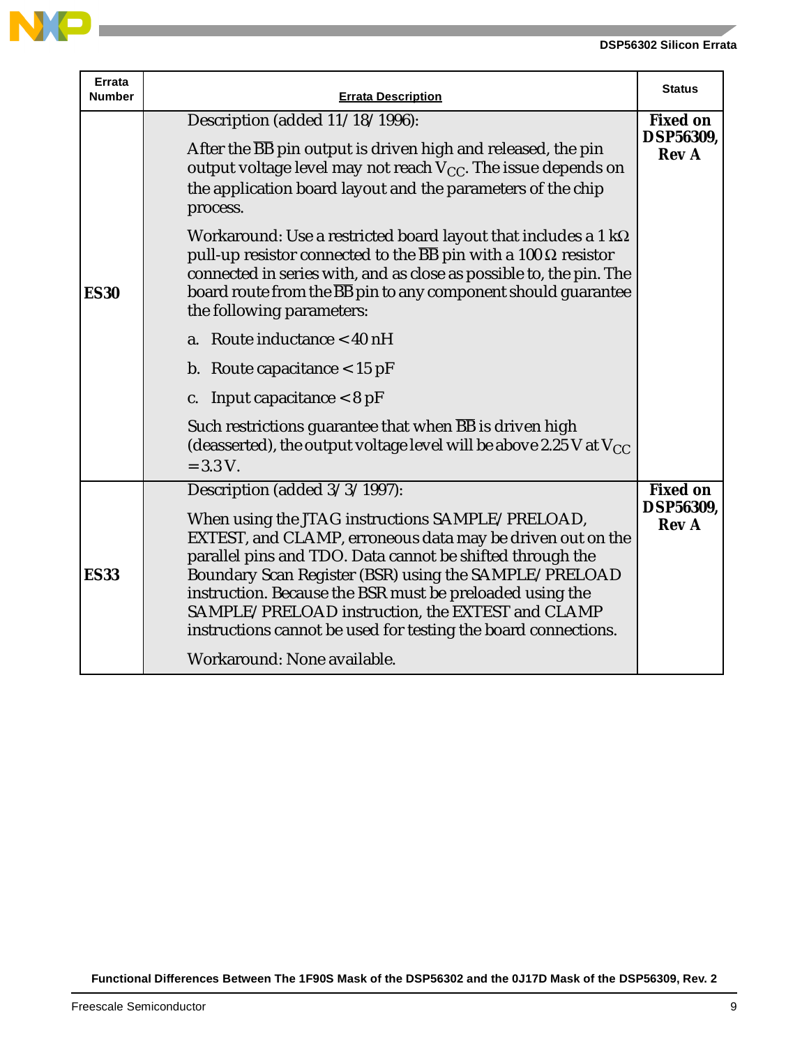

| Errata<br><b>Number</b> | <b>Errata Description</b>                                                                                                                                                                                                                                                                                                                                                                                                                                                                                                                                                                                                                                                                                                                                                                                                                                         | <b>Status</b>                                       |
|-------------------------|-------------------------------------------------------------------------------------------------------------------------------------------------------------------------------------------------------------------------------------------------------------------------------------------------------------------------------------------------------------------------------------------------------------------------------------------------------------------------------------------------------------------------------------------------------------------------------------------------------------------------------------------------------------------------------------------------------------------------------------------------------------------------------------------------------------------------------------------------------------------|-----------------------------------------------------|
| <b>ES30</b>             | Description (added 11/18/1996):<br>After the BB pin output is driven high and released, the pin<br>output voltage level may not reach $V_{CC}$ . The issue depends on<br>the application board layout and the parameters of the chip<br>process.<br>Workaround: Use a restricted board layout that includes a 1 k $\Omega$<br>pull-up resistor connected to the $\overline{BB}$ pin with a 100 $\Omega$ resistor<br>connected in series with, and as close as possible to, the pin. The<br>board route from the $\overline{BB}$ pin to any component should guarantee<br>the following parameters:<br>a. Route inductance $<$ 40 nH<br>b. Route capacitance $< 15$ pF<br>c. Input capacitance $< 8$ pF<br>Such restrictions guarantee that when <b>BB</b> is driven high<br>(deasserted), the output voltage level will be above 2.25 V at $V_{CC}$<br>$= 3.3 V.$ | <b>Fixed on</b><br><b>DSP56309,</b><br><b>Rev A</b> |
| <b>ES33</b>             | Description (added 3/3/1997):<br>When using the JTAG instructions SAMPLE/PRELOAD,<br>EXTEST, and CLAMP, erroneous data may be driven out on the<br>parallel pins and TDO. Data cannot be shifted through the<br>Boundary Scan Register (BSR) using the SAMPLE/PRELOAD<br>instruction. Because the BSR must be preloaded using the<br>SAMPLE/PRELOAD instruction, the EXTEST and CLAMP<br>instructions cannot be used for testing the board connections.<br>Workaround: None available.                                                                                                                                                                                                                                                                                                                                                                            | <b>Fixed on</b><br><b>DSP56309.</b><br><b>Rev A</b> |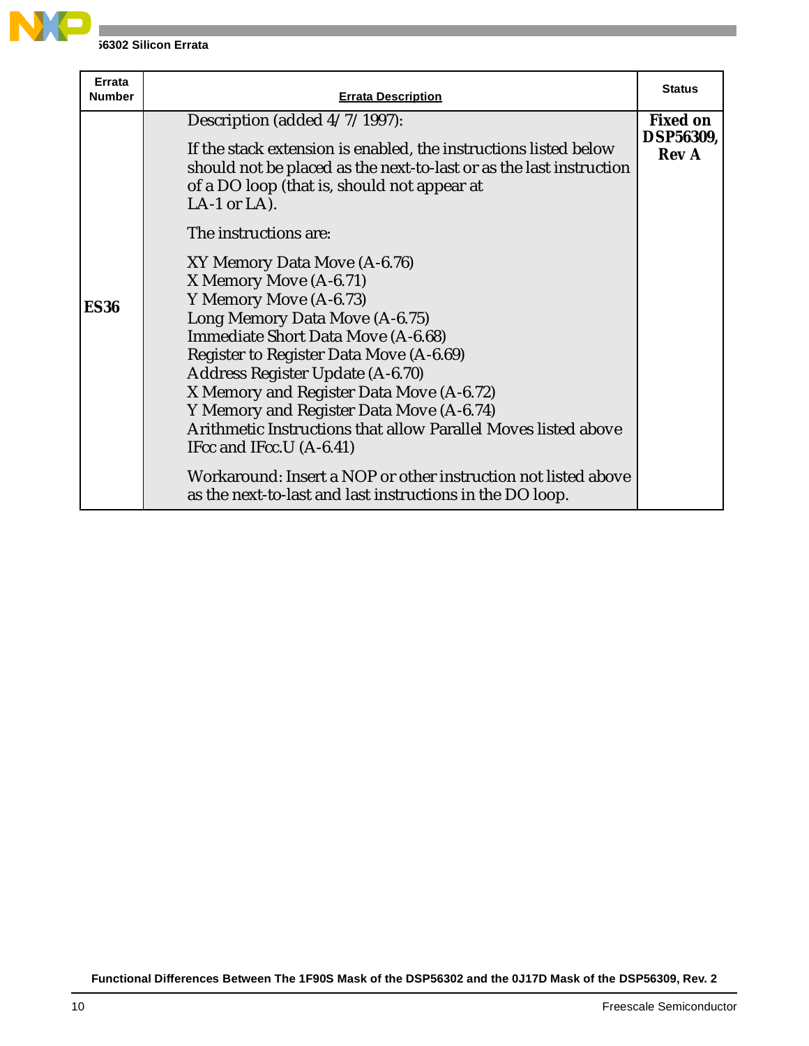

| Errata<br><b>Number</b> | <b>Errata Description</b>                                                                                                                                                                                                                                                                                                                                                                                                                                                                                                                                                                                                                                                                                                                                                                                                               | <b>Status</b>                                       |
|-------------------------|-----------------------------------------------------------------------------------------------------------------------------------------------------------------------------------------------------------------------------------------------------------------------------------------------------------------------------------------------------------------------------------------------------------------------------------------------------------------------------------------------------------------------------------------------------------------------------------------------------------------------------------------------------------------------------------------------------------------------------------------------------------------------------------------------------------------------------------------|-----------------------------------------------------|
| <b>ES36</b>             | Description (added 4/7/1997):<br>If the stack extension is enabled, the instructions listed below<br>should not be placed as the next-to-last or as the last instruction<br>of a DO loop (that is, should not appear at<br>LA-1 or LA).<br>The instructions are:<br>XY Memory Data Move (A-6.76)<br>X Memory Move (A-6.71)<br>Y Memory Move (A-6.73)<br>Long Memory Data Move (A-6.75)<br><b>Immediate Short Data Move (A-6.68)</b><br>Register to Register Data Move (A-6.69)<br>Address Register Update (A-6.70)<br>X Memory and Register Data Move (A-6.72)<br>Y Memory and Register Data Move (A-6.74)<br>Arithmetic Instructions that allow Parallel Moves listed above<br>IFcc and IFcc.U (A-6.41)<br>Workaround: Insert a NOP or other instruction not listed above<br>as the next-to-last and last instructions in the DO loop. | <b>Fixed on</b><br><b>DSP56309,</b><br><b>Rev A</b> |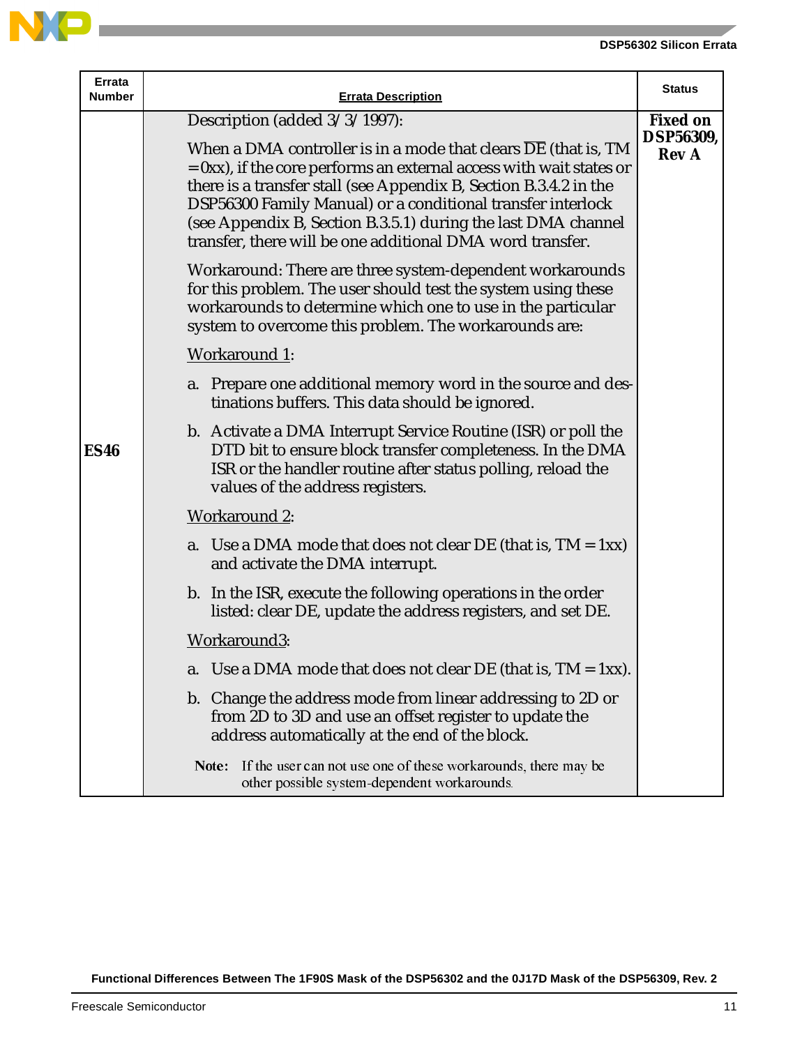

**Contract Contract** 

| <b>Errata</b><br>Number | <b>Errata Description</b>                                                                                                                                                                                                                                                                                                                                                                                                                      | <b>Status</b>                                       |
|-------------------------|------------------------------------------------------------------------------------------------------------------------------------------------------------------------------------------------------------------------------------------------------------------------------------------------------------------------------------------------------------------------------------------------------------------------------------------------|-----------------------------------------------------|
|                         | Description (added $3/3/1997$ ):<br>When a DMA controller is in a mode that clears DE (that is, TM<br>$= 0$ xx), if the core performs an external access with wait states or<br>there is a transfer stall (see Appendix B, Section B.3.4.2 in the<br>DSP56300 Family Manual) or a conditional transfer interlock<br>(see Appendix B, Section B.3.5.1) during the last DMA channel<br>transfer, there will be one additional DMA word transfer. | <b>Fixed on</b><br><b>DSP56309,</b><br><b>Rev A</b> |
|                         | Workaround: There are three system-dependent workarounds<br>for this problem. The user should test the system using these<br>workarounds to determine which one to use in the particular<br>system to overcome this problem. The workarounds are:                                                                                                                                                                                              |                                                     |
|                         | <b>Workaround 1:</b>                                                                                                                                                                                                                                                                                                                                                                                                                           |                                                     |
|                         | a. Prepare one additional memory word in the source and des-<br>tinations buffers. This data should be ignored.                                                                                                                                                                                                                                                                                                                                |                                                     |
| <b>ES46</b>             | b. Activate a DMA Interrupt Service Routine (ISR) or poll the<br>DTD bit to ensure block transfer completeness. In the DMA<br>ISR or the handler routine after status polling, reload the<br>values of the address registers.                                                                                                                                                                                                                  |                                                     |
|                         | <b>Workaround 2:</b>                                                                                                                                                                                                                                                                                                                                                                                                                           |                                                     |
|                         | a. Use a DMA mode that does not clear DE (that is, $TM = 1xx$ )<br>and activate the DMA interrupt.                                                                                                                                                                                                                                                                                                                                             |                                                     |
|                         | b. In the ISR, execute the following operations in the order<br>listed: clear DE, update the address registers, and set DE.                                                                                                                                                                                                                                                                                                                    |                                                     |
|                         | Workaround3:                                                                                                                                                                                                                                                                                                                                                                                                                                   |                                                     |
|                         | Use a DMA mode that does not clear DE (that is, $TM = 1xx$ ).<br>a.                                                                                                                                                                                                                                                                                                                                                                            |                                                     |
|                         | b. Change the address mode from linear addressing to 2D or<br>from 2D to 3D and use an offset register to update the<br>address automatically at the end of the block.                                                                                                                                                                                                                                                                         |                                                     |
|                         | If the user can not use one of these workarounds, there may be<br>Note:<br>other possible system-dependent workarounds.                                                                                                                                                                                                                                                                                                                        |                                                     |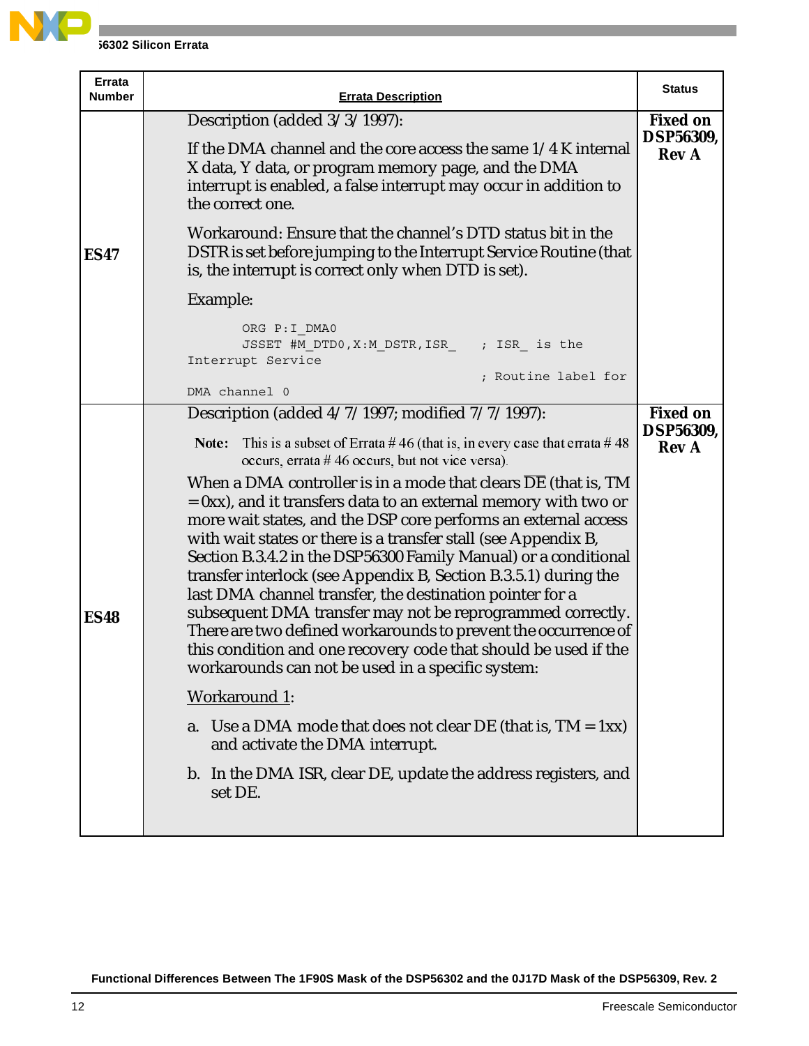

| Errata<br><b>Number</b> | <b>Errata Description</b>                                                                                                                                                                                                                                                                                                                                                                                                                                                                                                                                                                                                                                                                                                                                                                                                                                                                                                                                                                                                                                                                                                                  | <b>Status</b>                                       |
|-------------------------|--------------------------------------------------------------------------------------------------------------------------------------------------------------------------------------------------------------------------------------------------------------------------------------------------------------------------------------------------------------------------------------------------------------------------------------------------------------------------------------------------------------------------------------------------------------------------------------------------------------------------------------------------------------------------------------------------------------------------------------------------------------------------------------------------------------------------------------------------------------------------------------------------------------------------------------------------------------------------------------------------------------------------------------------------------------------------------------------------------------------------------------------|-----------------------------------------------------|
|                         | Description (added $3/3/1997$ ):<br>If the DMA channel and the core access the same 1/4 K internal<br>X data, Y data, or program memory page, and the DMA<br>interrupt is enabled, a false interrupt may occur in addition to<br>the correct one.                                                                                                                                                                                                                                                                                                                                                                                                                                                                                                                                                                                                                                                                                                                                                                                                                                                                                          | <b>Fixed on</b><br><b>DSP56309,</b><br><b>Rev A</b> |
| <b>ES47</b>             | Workaround: Ensure that the channel's DTD status bit in the<br>DSTR is set before jumping to the Interrupt Service Routine (that<br>is, the interrupt is correct only when DTD is set).                                                                                                                                                                                                                                                                                                                                                                                                                                                                                                                                                                                                                                                                                                                                                                                                                                                                                                                                                    |                                                     |
|                         | Example:                                                                                                                                                                                                                                                                                                                                                                                                                                                                                                                                                                                                                                                                                                                                                                                                                                                                                                                                                                                                                                                                                                                                   |                                                     |
|                         | ORG P: I DMA0<br>JSSET #M DTD0, X: M DSTR, ISR ; ISR is the<br>Interrupt Service<br>; Routine label for<br>DMA channel 0                                                                                                                                                                                                                                                                                                                                                                                                                                                                                                                                                                                                                                                                                                                                                                                                                                                                                                                                                                                                                   |                                                     |
| <b>ES48</b>             | Description (added 4/7/1997; modified 7/7/1997):<br>This is a subset of Errata #46 (that is, in every case that errata #48<br>Note:<br>occurs, errata #46 occurs, but not vice versa).<br>When a DMA controller is in a mode that clears DE (that is, TM<br>$= 0$ xx), and it transfers data to an external memory with two or<br>more wait states, and the DSP core performs an external access<br>with wait states or there is a transfer stall (see Appendix B,<br>Section B.3.4.2 in the DSP56300 Family Manual) or a conditional<br>transfer interlock (see Appendix B, Section B.3.5.1) during the<br>last DMA channel transfer, the destination pointer for a<br>subsequent DMA transfer may not be reprogrammed correctly.<br>There are two defined workarounds to prevent the occurrence of<br>this condition and one recovery code that should be used if the<br>workarounds can not be used in a specific system:<br><b>Workaround 1:</b><br>Use a DMA mode that does not clear DE (that is, $TM = 1xx$ )<br>a.<br>and activate the DMA interrupt.<br>b. In the DMA ISR, clear DE, update the address registers, and<br>set DE. | <b>Fixed on</b><br><b>DSP56309,</b><br><b>Rev A</b> |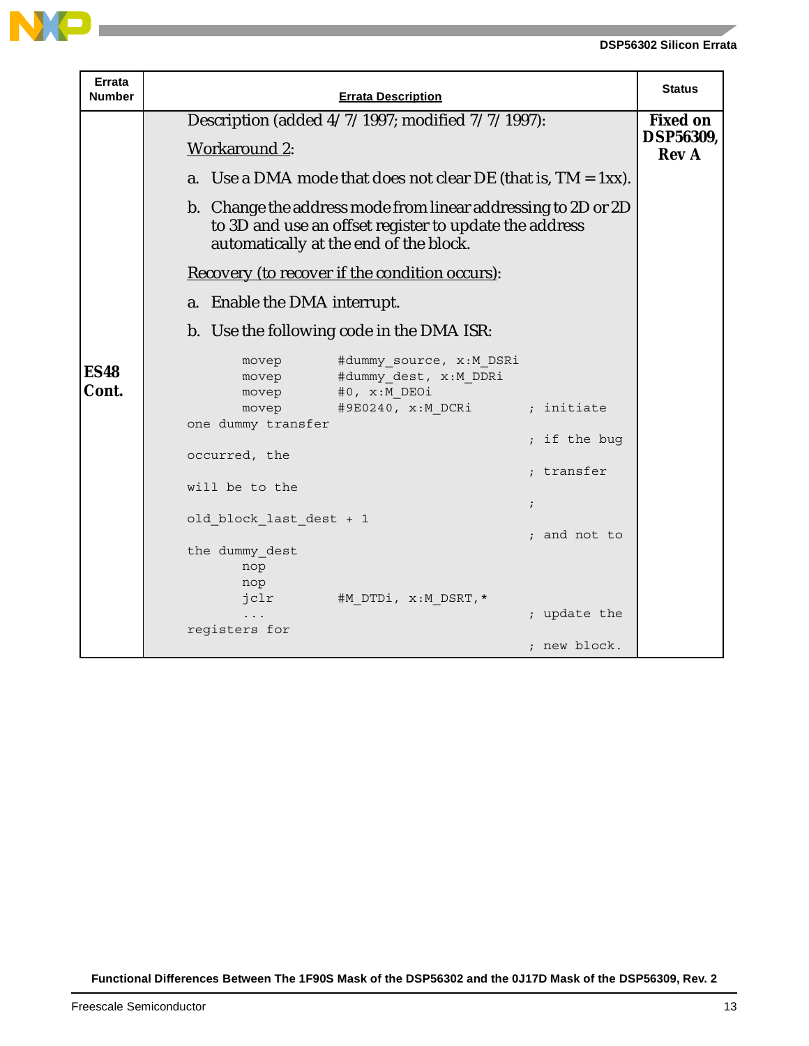

| Errata<br>Number     | <b>Errata Description</b>                                                                                                                                         | <b>Status</b>                    |
|----------------------|-------------------------------------------------------------------------------------------------------------------------------------------------------------------|----------------------------------|
|                      | Description (added 4/7/1997; modified 7/7/1997):                                                                                                                  | <b>Fixed on</b>                  |
|                      | <b>Workaround 2:</b>                                                                                                                                              | <b>DSP56309,</b><br><b>Rev A</b> |
|                      | a. Use a DMA mode that does not clear DE (that is, $TM = 1xx$ ).                                                                                                  |                                  |
|                      | b. Change the address mode from linear addressing to 2D or 2D<br>to 3D and use an offset register to update the address<br>automatically at the end of the block. |                                  |
|                      | Recovery (to recover if the condition occurs):                                                                                                                    |                                  |
|                      | a. Enable the DMA interrupt.                                                                                                                                      |                                  |
|                      | b. Use the following code in the DMA ISR:                                                                                                                         |                                  |
| <b>ES48</b><br>Cont. | #dummy source, x:M DSRi<br>movep<br>#dummy dest, x:M DDRi<br>movep<br>#0, x:M DEOi<br>movep                                                                       |                                  |
|                      | #9E0240, x:M DCRi<br>; initiate<br>movep                                                                                                                          |                                  |
|                      | one dummy transfer<br>; if the bug                                                                                                                                |                                  |
|                      | occurred, the<br>; transfer                                                                                                                                       |                                  |
|                      | will be to the                                                                                                                                                    |                                  |
|                      | $\ddot{i}$<br>old block last dest + 1                                                                                                                             |                                  |
|                      | ; and not to                                                                                                                                                      |                                  |
|                      | the dummy dest<br>nop                                                                                                                                             |                                  |
|                      | nop<br>#M DTDi, x:M DSRT, *<br>jclr                                                                                                                               |                                  |
|                      | ; update the                                                                                                                                                      |                                  |
|                      | registers for<br>; new block.                                                                                                                                     |                                  |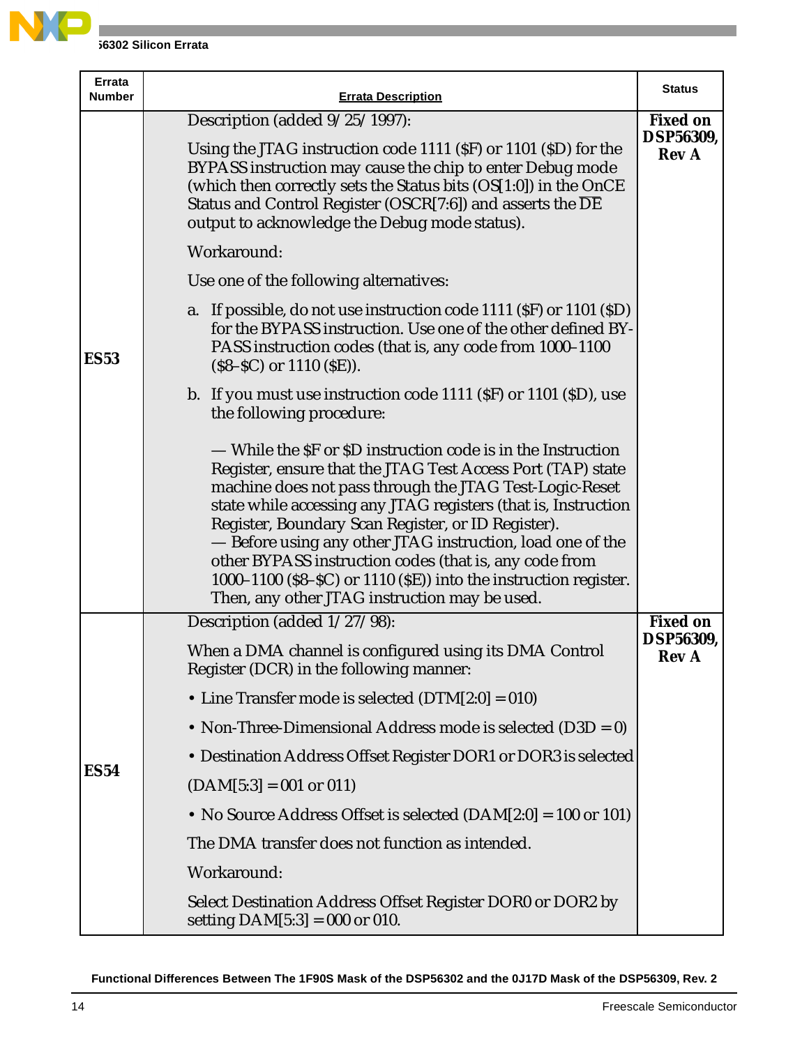

| Errata<br><b>Number</b> | <b>Errata Description</b>                                                                                                                                                                                                                                                                                                                                                                                                                                                                                                                                   | <b>Status</b>                                       |
|-------------------------|-------------------------------------------------------------------------------------------------------------------------------------------------------------------------------------------------------------------------------------------------------------------------------------------------------------------------------------------------------------------------------------------------------------------------------------------------------------------------------------------------------------------------------------------------------------|-----------------------------------------------------|
|                         | Description (added 9/25/1997):<br>Using the JTAG instruction code 1111 (SF) or 1101 (SD) for the<br>BYPASS instruction may cause the chip to enter Debug mode<br>(which then correctly sets the Status bits (OS[1:0]) in the OnCE<br>Status and Control Register (OSCR[7:6]) and asserts the $\overline{DE}$<br>output to acknowledge the Debug mode status).                                                                                                                                                                                               | <b>Fixed on</b><br><b>DSP56309,</b><br><b>Rev A</b> |
|                         | Workaround:                                                                                                                                                                                                                                                                                                                                                                                                                                                                                                                                                 |                                                     |
|                         | Use one of the following alternatives:                                                                                                                                                                                                                                                                                                                                                                                                                                                                                                                      |                                                     |
| <b>ES53</b>             | a. If possible, do not use instruction code 1111 (SF) or 1101 (SD)<br>for the BYPASS instruction. Use one of the other defined BY-<br>PASS instruction codes (that is, any code from 1000-1100<br>$(S8-SC)$ or 1110 $(SE)$ ).                                                                                                                                                                                                                                                                                                                               |                                                     |
|                         | b. If you must use instruction code 1111 (SF) or 1101 (SD), use<br>the following procedure:                                                                                                                                                                                                                                                                                                                                                                                                                                                                 |                                                     |
|                         | — While the SF or SD instruction code is in the Instruction<br>Register, ensure that the JTAG Test Access Port (TAP) state<br>machine does not pass through the JTAG Test-Logic-Reset<br>state while accessing any JTAG registers (that is, Instruction<br>Register, Boundary Scan Register, or ID Register).<br>- Before using any other JTAG instruction, load one of the<br>other BYPASS instruction codes (that is, any code from<br>1000-1100 (\$8-\$C) or 1110 (\$E)) into the instruction register.<br>Then, any other JTAG instruction may be used. |                                                     |
|                         | Description (added 1/27/98):                                                                                                                                                                                                                                                                                                                                                                                                                                                                                                                                | <b>Fixed on</b>                                     |
|                         | When a DMA channel is configured using its DMA Control<br>Register (DCR) in the following manner:                                                                                                                                                                                                                                                                                                                                                                                                                                                           | DSP56309,<br><b>Rev</b> A                           |
|                         | • Line Transfer mode is selected $(DTM[2:0] = 010)$                                                                                                                                                                                                                                                                                                                                                                                                                                                                                                         |                                                     |
|                         | • Non-Three-Dimensional Address mode is selected $(D3D = 0)$                                                                                                                                                                                                                                                                                                                                                                                                                                                                                                |                                                     |
|                         | • Destination Address Offset Register DOR1 or DOR3 is selected                                                                                                                                                                                                                                                                                                                                                                                                                                                                                              |                                                     |
| <b>ES54</b>             | $(DAM[5:3] = 001$ or 011)                                                                                                                                                                                                                                                                                                                                                                                                                                                                                                                                   |                                                     |
|                         | • No Source Address Offset is selected $(DAM[2:0] = 100$ or 101)                                                                                                                                                                                                                                                                                                                                                                                                                                                                                            |                                                     |
|                         | The DMA transfer does not function as intended.                                                                                                                                                                                                                                                                                                                                                                                                                                                                                                             |                                                     |
|                         | Workaround:                                                                                                                                                                                                                                                                                                                                                                                                                                                                                                                                                 |                                                     |
|                         | Select Destination Address Offset Register DOR0 or DOR2 by<br>setting $DAM[5:3] = 000$ or 010.                                                                                                                                                                                                                                                                                                                                                                                                                                                              |                                                     |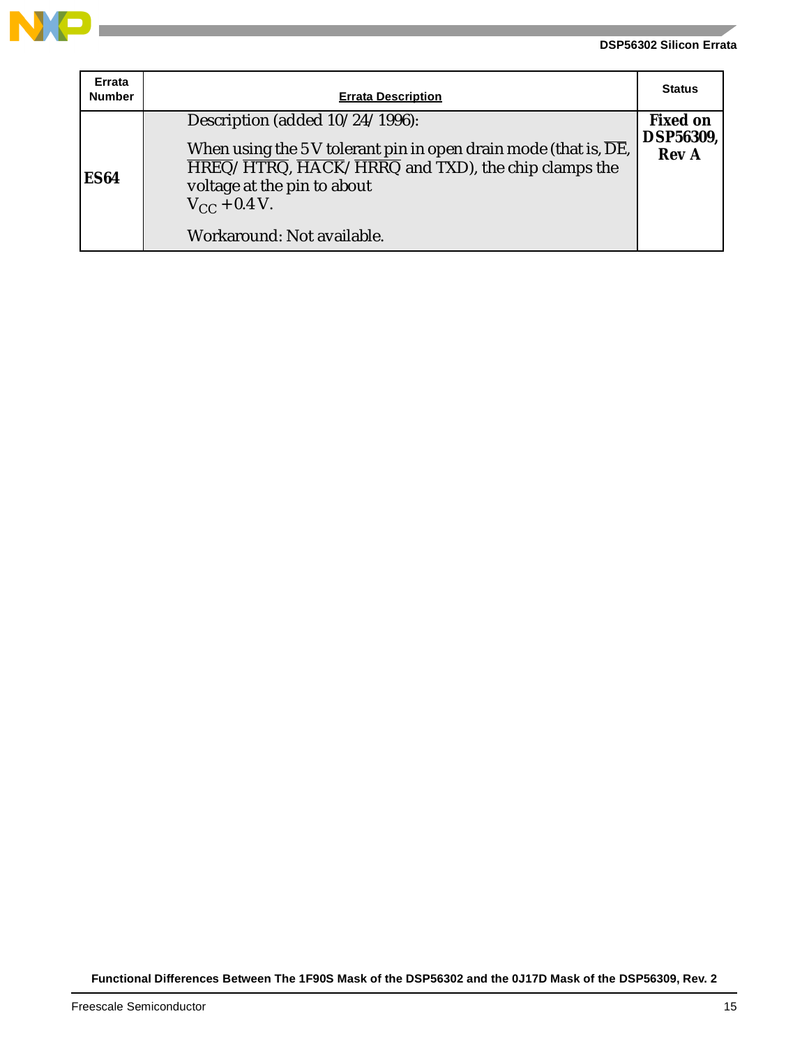

| Errata<br><b>Number</b> | <b>Errata Description</b>                                                                                                                                                                                                                                                                                                                     | <b>Status</b>                                       |
|-------------------------|-----------------------------------------------------------------------------------------------------------------------------------------------------------------------------------------------------------------------------------------------------------------------------------------------------------------------------------------------|-----------------------------------------------------|
| <b>ES64</b>             | Description (added 10/24/1996):<br>When using the 5 V tolerant pin in open drain mode (that is, $\overline{\text{DE}}$ ,<br>$\overline{\text{HREG}}/\overline{\text{HTRG}}$ , $\overline{\text{HACK}}/\overline{\text{HRRQ}}$ and TXD), the chip clamps the<br>voltage at the pin to about<br>$V_{CC}$ + 0.4 V.<br>Workaround: Not available. | <b>Fixed on</b><br><b>DSP56309,</b><br><b>Rev A</b> |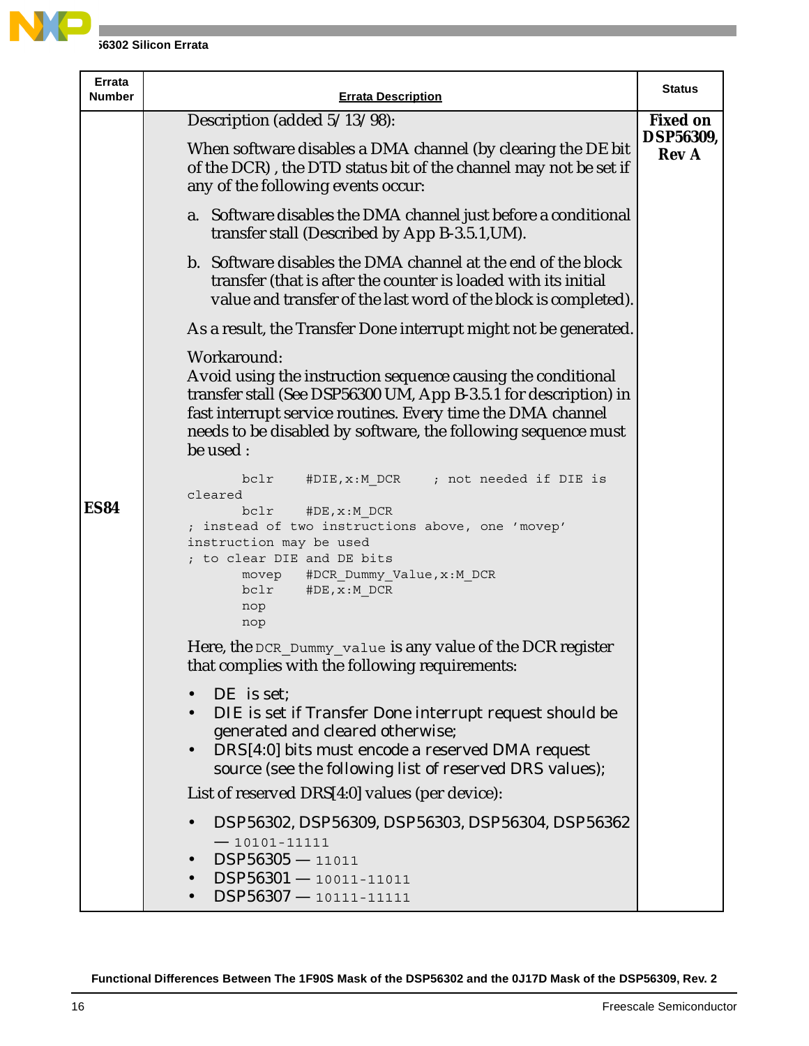

| <b>Errata</b><br>Number | <b>Errata Description</b>                                                                                                                                                                                                                                                                   | <b>Status</b>                                       |
|-------------------------|---------------------------------------------------------------------------------------------------------------------------------------------------------------------------------------------------------------------------------------------------------------------------------------------|-----------------------------------------------------|
|                         | Description (added 5/13/98):<br>When software disables a DMA channel (by clearing the DE bit)                                                                                                                                                                                               | <b>Fixed on</b><br><b>DSP56309,</b><br><b>Rev A</b> |
|                         | of the DCR), the DTD status bit of the channel may not be set if<br>any of the following events occur:                                                                                                                                                                                      |                                                     |
|                         | a. Software disables the DMA channel just before a conditional<br>transfer stall (Described by App B-3.5.1, UM).                                                                                                                                                                            |                                                     |
|                         | b. Software disables the DMA channel at the end of the block<br>transfer (that is after the counter is loaded with its initial<br>value and transfer of the last word of the block is completed).                                                                                           |                                                     |
|                         | As a result, the Transfer Done interrupt might not be generated.                                                                                                                                                                                                                            |                                                     |
|                         | Workaround:<br>Avoid using the instruction sequence causing the conditional<br>transfer stall (See DSP56300 UM, App B-3.5.1 for description) in<br>fast interrupt service routines. Every time the DMA channel<br>needs to be disabled by software, the following sequence must<br>be used: |                                                     |
| <b>ES84</b>             | #DIE, x: M DCR ; not needed if DIE is<br>bclr<br>cleared<br>bclr<br>#DE, x: M DCR<br>; instead of two instructions above, one 'movep'<br>instruction may be used<br>; to clear DIE and DE bits<br>movep #DCR_Dummy_Value, x:M DCR<br>bclr<br>#DE,x:M DCR<br>nop<br>nop                      |                                                     |
|                         | Here, the DCR Dummy value is any value of the DCR register<br>that complies with the following requirements:                                                                                                                                                                                |                                                     |
|                         | DE is set;<br>DIE is set if Transfer Done interrupt request should be<br>generated and cleared otherwise;<br>DRS[4:0] bits must encode a reserved DMA request<br>source (see the following list of reserved DRS values);                                                                    |                                                     |
|                         | List of reserved DRS[4:0] values (per device):                                                                                                                                                                                                                                              |                                                     |
|                         | DSP56302, DSP56309, DSP56303, DSP56304, DSP56362<br>$-10101 - 11111$<br>$DSP56305 - 11011$<br>$\bullet$<br>$DSP56301 - 10011 - 11011$<br>$\bullet$<br>DSP56307-10111-11111<br>$\bullet$                                                                                                     |                                                     |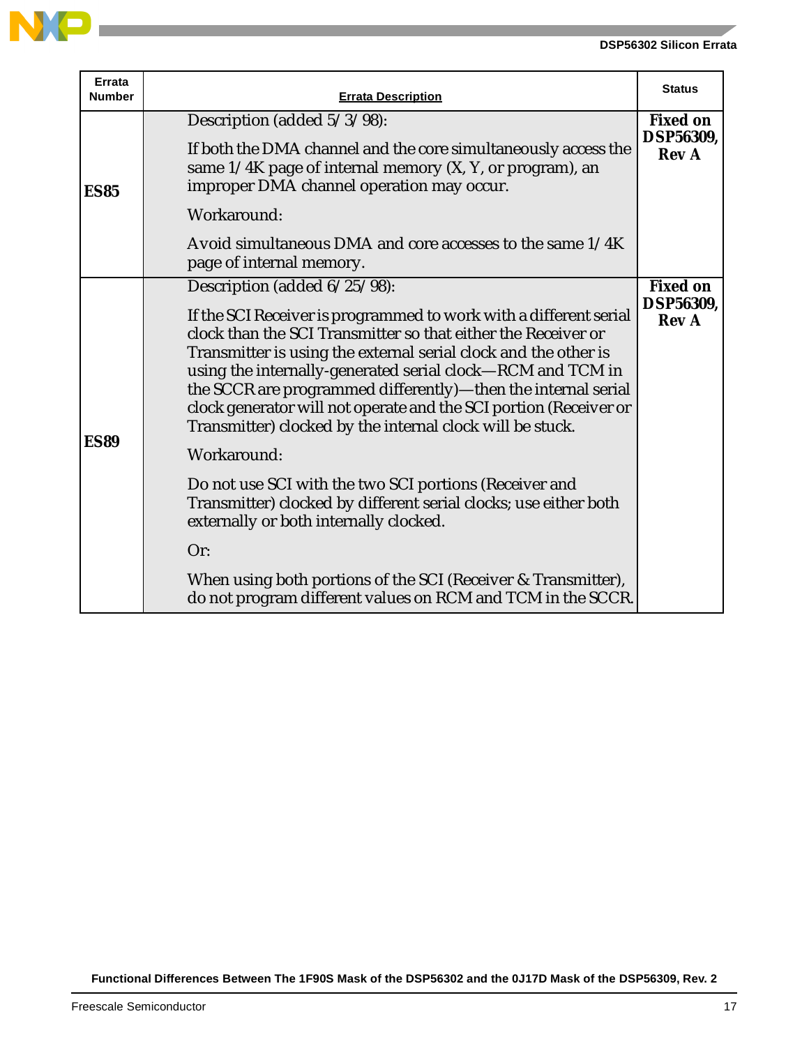

والمستور

| <b>Errata</b><br><b>Number</b> | <b>Errata Description</b>                                                                                                                                                                                                                                                                                                                                                                                                                                                                                                                                                                                                                                                                            | <b>Status</b>                                       |
|--------------------------------|------------------------------------------------------------------------------------------------------------------------------------------------------------------------------------------------------------------------------------------------------------------------------------------------------------------------------------------------------------------------------------------------------------------------------------------------------------------------------------------------------------------------------------------------------------------------------------------------------------------------------------------------------------------------------------------------------|-----------------------------------------------------|
|                                | Description (added 5/3/98):                                                                                                                                                                                                                                                                                                                                                                                                                                                                                                                                                                                                                                                                          | <b>Fixed on</b>                                     |
| <b>ES85</b>                    | If both the DMA channel and the core simultaneously access the<br>same $1/4K$ page of internal memory $(X, Y, or)$ program), an<br>improper DMA channel operation may occur.                                                                                                                                                                                                                                                                                                                                                                                                                                                                                                                         | <b>DSP56309,</b><br><b>Rev A</b>                    |
|                                | Workaround:                                                                                                                                                                                                                                                                                                                                                                                                                                                                                                                                                                                                                                                                                          |                                                     |
|                                | Avoid simultaneous DMA and core accesses to the same 1/4K<br>page of internal memory.                                                                                                                                                                                                                                                                                                                                                                                                                                                                                                                                                                                                                |                                                     |
| <b>ES89</b>                    | Description (added 6/25/98):<br>If the SCI Receiver is programmed to work with a different serial<br>clock than the SCI Transmitter so that either the Receiver or<br>Transmitter is using the external serial clock and the other is<br>using the internally-generated serial clock-RCM and TCM in<br>the SCCR are programmed differently)—then the internal serial<br>clock generator will not operate and the SCI portion (Receiver or<br>Transmitter) clocked by the internal clock will be stuck.<br>Workaround:<br>Do not use SCI with the two SCI portions (Receiver and<br>Transmitter) clocked by different serial clocks; use either both<br>externally or both internally clocked.<br>Or: | <b>Fixed on</b><br><b>DSP56309,</b><br><b>Rev A</b> |
|                                | When using both portions of the SCI (Receiver & Transmitter),<br>do not program different values on RCM and TCM in the SCCR.                                                                                                                                                                                                                                                                                                                                                                                                                                                                                                                                                                         |                                                     |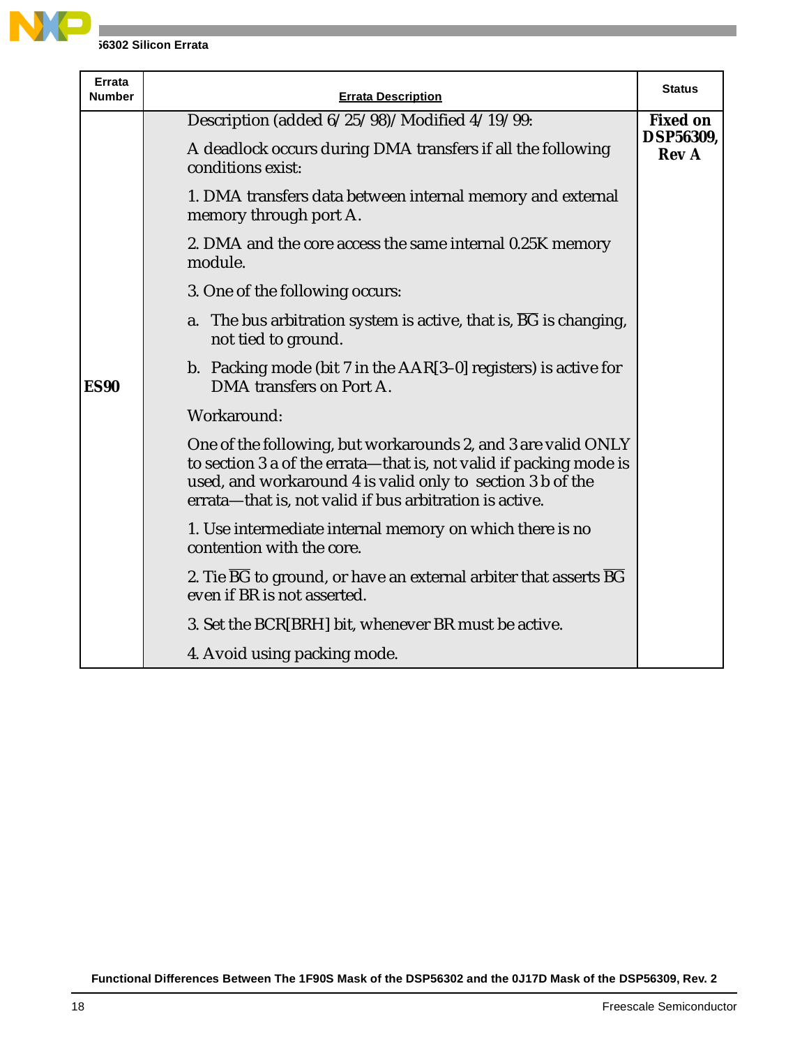

| <b>Errata</b><br><b>Number</b> | <b>Errata Description</b>                                                                                                                                                                                                                                    | <b>Status</b>             |
|--------------------------------|--------------------------------------------------------------------------------------------------------------------------------------------------------------------------------------------------------------------------------------------------------------|---------------------------|
|                                | Description (added 6/25/98)/Modified 4/19/99:                                                                                                                                                                                                                | <b>Fixed on</b>           |
|                                | A deadlock occurs during DMA transfers if all the following<br>conditions exist:                                                                                                                                                                             | DSP56309,<br><b>Rev A</b> |
|                                | 1. DMA transfers data between internal memory and external<br>memory through port A.                                                                                                                                                                         |                           |
|                                | 2. DMA and the core access the same internal 0.25K memory<br>module.                                                                                                                                                                                         |                           |
|                                | 3. One of the following occurs:                                                                                                                                                                                                                              |                           |
|                                | a. The bus arbitration system is active, that is, BG is changing,<br>not tied to ground.                                                                                                                                                                     |                           |
| <b>ES90</b>                    | b. Packing mode (bit $7$ in the $AAR[3-0]$ registers) is active for<br>DMA transfers on Port A.                                                                                                                                                              |                           |
|                                | Workaround:                                                                                                                                                                                                                                                  |                           |
|                                | One of the following, but workarounds 2, and 3 are valid ONLY<br>to section 3 a of the errata-that is, not valid if packing mode is<br>used, and workaround 4 is valid only to section 3 b of the<br>errata—that is, not valid if bus arbitration is active. |                           |
|                                | 1. Use intermediate internal memory on which there is no<br>contention with the core.                                                                                                                                                                        |                           |
|                                | 2. Tie $\overline{BG}$ to ground, or have an external arbiter that asserts BG<br>even if BR is not asserted.                                                                                                                                                 |                           |
|                                | 3. Set the BCR[BRH] bit, whenever BR must be active.                                                                                                                                                                                                         |                           |
|                                | 4. Avoid using packing mode.                                                                                                                                                                                                                                 |                           |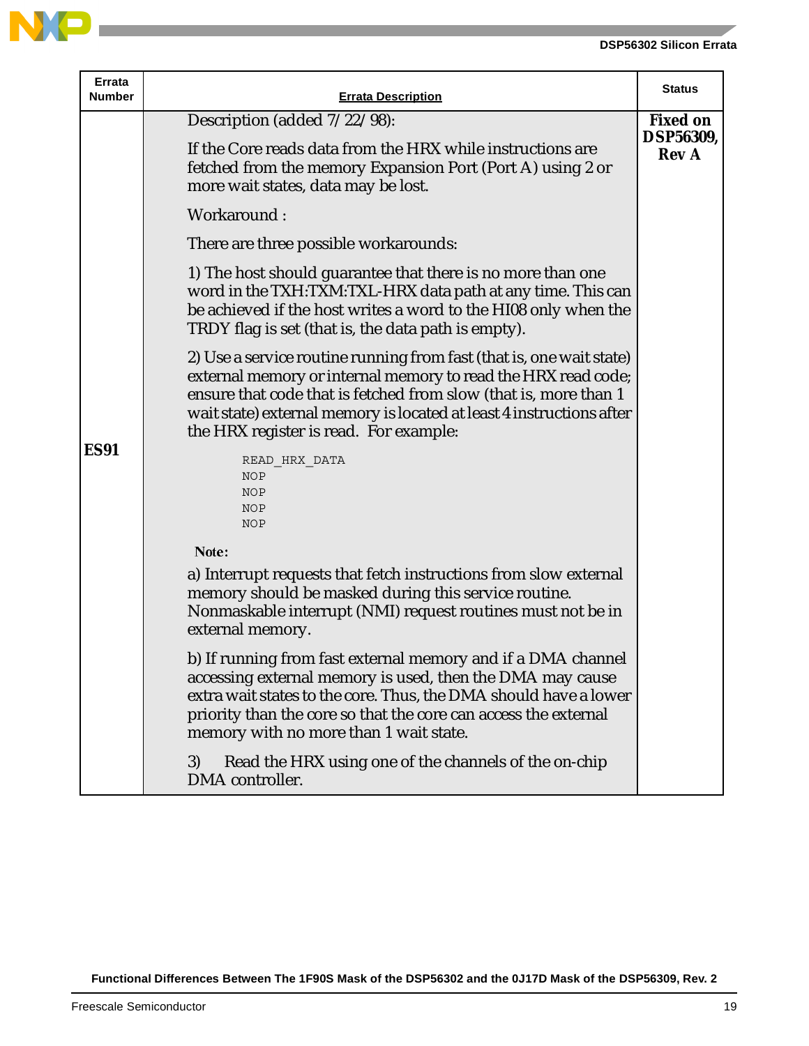

**Contract** 

| Errata<br><b>Number</b> | <b>Errata Description</b>                                                                                                                                                                                                                                                                                                   | <b>Status</b>                    |
|-------------------------|-----------------------------------------------------------------------------------------------------------------------------------------------------------------------------------------------------------------------------------------------------------------------------------------------------------------------------|----------------------------------|
|                         | Description (added $7/22/98$ ):                                                                                                                                                                                                                                                                                             | <b>Fixed on</b>                  |
|                         | If the Core reads data from the HRX while instructions are<br>fetched from the memory Expansion Port (Port A) using 2 or<br>more wait states, data may be lost.                                                                                                                                                             | <b>DSP56309,</b><br><b>Rev A</b> |
|                         | Workaround:                                                                                                                                                                                                                                                                                                                 |                                  |
|                         | There are three possible workarounds:                                                                                                                                                                                                                                                                                       |                                  |
|                         | 1) The host should guarantee that there is no more than one<br>word in the TXH:TXM:TXL-HRX data path at any time. This can<br>be achieved if the host writes a word to the HI08 only when the<br>TRDY flag is set (that is, the data path is empty).                                                                        |                                  |
|                         | 2) Use a service routine running from fast (that is, one wait state)<br>external memory or internal memory to read the HRX read code;<br>ensure that code that is fetched from slow (that is, more than 1<br>wait state) external memory is located at least 4 instructions after<br>the HRX register is read. For example: |                                  |
| <b>ES91</b>             | READ HRX DATA<br><b>NOP</b><br><b>NOP</b><br><b>NOP</b><br><b>NOP</b>                                                                                                                                                                                                                                                       |                                  |
|                         | Note:                                                                                                                                                                                                                                                                                                                       |                                  |
|                         | a) Interrupt requests that fetch instructions from slow external<br>memory should be masked during this service routine.<br>Nonmaskable interrupt (NMI) request routines must not be in<br>external memory.                                                                                                                 |                                  |
|                         | b) If running from fast external memory and if a DMA channel<br>accessing external memory is used, then the DMA may cause<br>extra wait states to the core. Thus, the DMA should have a lower<br>priority than the core so that the core can access the external<br>memory with no more than 1 wait state.                  |                                  |
|                         | 3)<br>Read the HRX using one of the channels of the on-chip<br>DMA controller.                                                                                                                                                                                                                                              |                                  |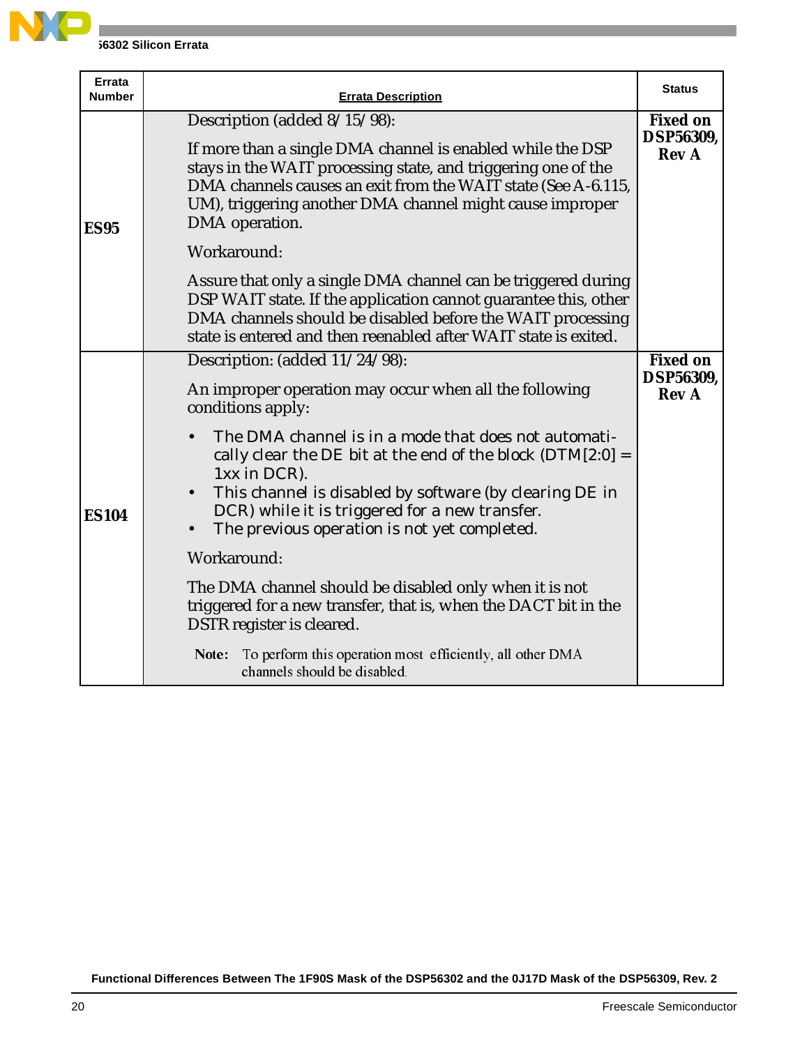

| <b>Errata</b><br><b>Number</b> | <b>Errata Description</b>                                                                                                                                                                                                                                                                                  | <b>Status</b>                                       |
|--------------------------------|------------------------------------------------------------------------------------------------------------------------------------------------------------------------------------------------------------------------------------------------------------------------------------------------------------|-----------------------------------------------------|
| <b>ES95</b>                    | Description (added 8/15/98):<br>If more than a single DMA channel is enabled while the DSP<br>stays in the WAIT processing state, and triggering one of the<br>DMA channels causes an exit from the WAIT state (See A-6.115,<br>UM), triggering another DMA channel might cause improper<br>DMA operation. | <b>Fixed on</b><br>DSP56309,<br><b>Rev A</b>        |
|                                | Workaround:<br>Assure that only a single DMA channel can be triggered during<br>DSP WAIT state. If the application cannot guarantee this, other<br>DMA channels should be disabled before the WAIT processing<br>state is entered and then reenabled after WAIT state is exited.                           |                                                     |
| <b>ES104</b>                   | Description: (added 11/24/98):<br>An improper operation may occur when all the following<br>conditions apply:                                                                                                                                                                                              | <b>Fixed on</b><br><b>DSP56309,</b><br><b>Rev A</b> |
|                                | The DMA channel is in a mode that does not automati-<br>cally clear the DE bit at the end of the block $(DTM[2:0] =$<br>1xx in DCR).<br>This channel is disabled by software (by clearing DE in<br>DCR) while it is triggered for a new transfer.<br>The previous operation is not yet completed.          |                                                     |
|                                | Workaround:<br>The DMA channel should be disabled only when it is not<br>triggered for a new transfer, that is, when the DACT bit in the<br>DSTR register is cleared.                                                                                                                                      |                                                     |
|                                | To perform this operation most efficiently, all other DMA<br>Note:<br>channels should be disabled.                                                                                                                                                                                                         |                                                     |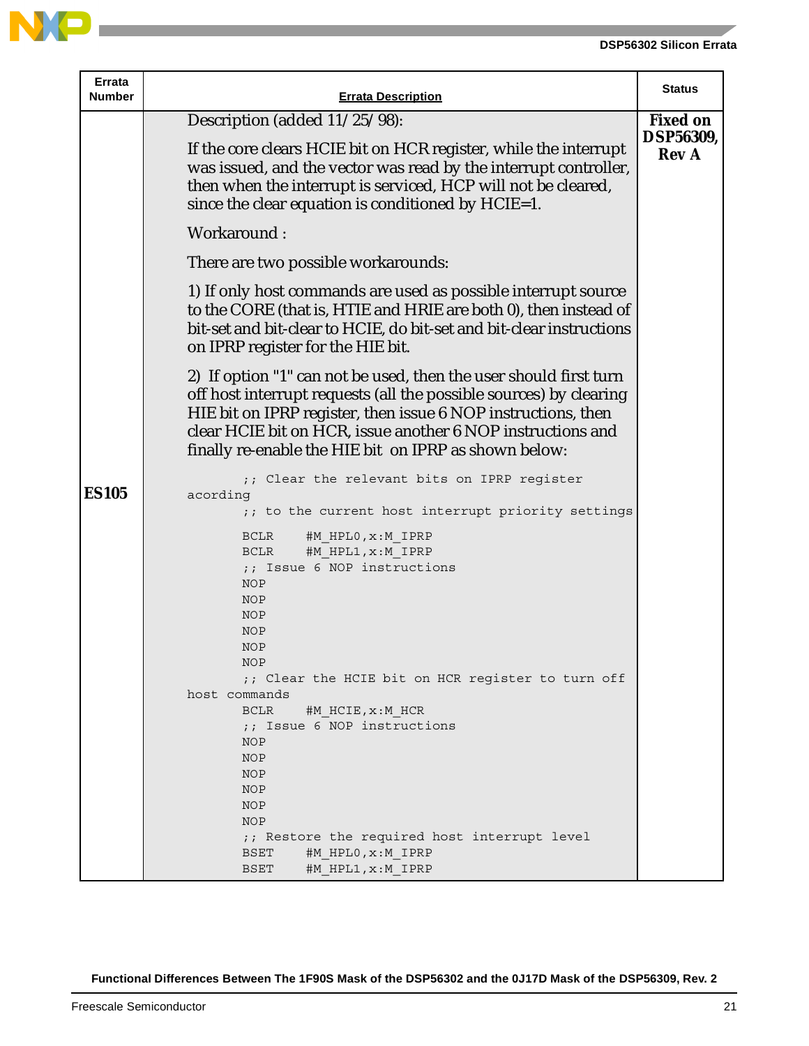

**Contract** 

| Errata<br><b>Number</b> | <b>Errata Description</b>                                                                                                                                                                                                                                                                                                                                                                                                                                                                                                                                                                               | <b>Status</b>                    |
|-------------------------|---------------------------------------------------------------------------------------------------------------------------------------------------------------------------------------------------------------------------------------------------------------------------------------------------------------------------------------------------------------------------------------------------------------------------------------------------------------------------------------------------------------------------------------------------------------------------------------------------------|----------------------------------|
|                         | Description (added 11/25/98):                                                                                                                                                                                                                                                                                                                                                                                                                                                                                                                                                                           | <b>Fixed on</b>                  |
|                         | If the core clears HCIE bit on HCR register, while the interrupt<br>was issued, and the vector was read by the interrupt controller,<br>then when the interrupt is serviced, HCP will not be cleared,<br>since the clear equation is conditioned by HCIE=1.                                                                                                                                                                                                                                                                                                                                             | <b>DSP56309,</b><br><b>Rev A</b> |
|                         | Workaround:                                                                                                                                                                                                                                                                                                                                                                                                                                                                                                                                                                                             |                                  |
|                         | There are two possible workarounds:                                                                                                                                                                                                                                                                                                                                                                                                                                                                                                                                                                     |                                  |
|                         | 1) If only host commands are used as possible interrupt source<br>to the CORE (that is, HTIE and HRIE are both 0), then instead of<br>bit-set and bit-clear to HCIE, do bit-set and bit-clear instructions<br>on IPRP register for the HIE bit.                                                                                                                                                                                                                                                                                                                                                         |                                  |
|                         | 2) If option "1" can not be used, then the user should first turn<br>off host interrupt requests (all the possible sources) by clearing<br>HIE bit on IPRP register, then issue 6 NOP instructions, then<br>clear HCIE bit on HCR, issue another 6 NOP instructions and<br>finally re-enable the HIE bit on IPRP as shown below:                                                                                                                                                                                                                                                                        |                                  |
| <b>ES105</b>            | ;; Clear the relevant bits on IPRP register<br>acording<br>;; to the current host interrupt priority settings<br><b>BCLR</b><br>#M HPLO, x: M IPRP<br>#M HPL1, x: M IPRP<br>BCLR<br>;; Issue 6 NOP instructions<br><b>NOP</b><br><b>NOP</b><br><b>NOP</b><br><b>NOP</b><br><b>NOP</b><br>NOP<br>;; Clear the HCIE bit on HCR register to turn off<br>host commands<br><b>BCLR</b><br>#M HCIE, x: M HCR<br>;; Issue 6 NOP instructions<br><b>NOP</b><br><b>NOP</b><br><b>NOP</b><br><b>NOP</b><br><b>NOP</b><br><b>NOP</b><br>;; Restore the required host interrupt level<br>BSET<br>#M HPLO, x: M IPRP |                                  |
|                         | BSET<br>#M HPL1, x: M IPRP                                                                                                                                                                                                                                                                                                                                                                                                                                                                                                                                                                              |                                  |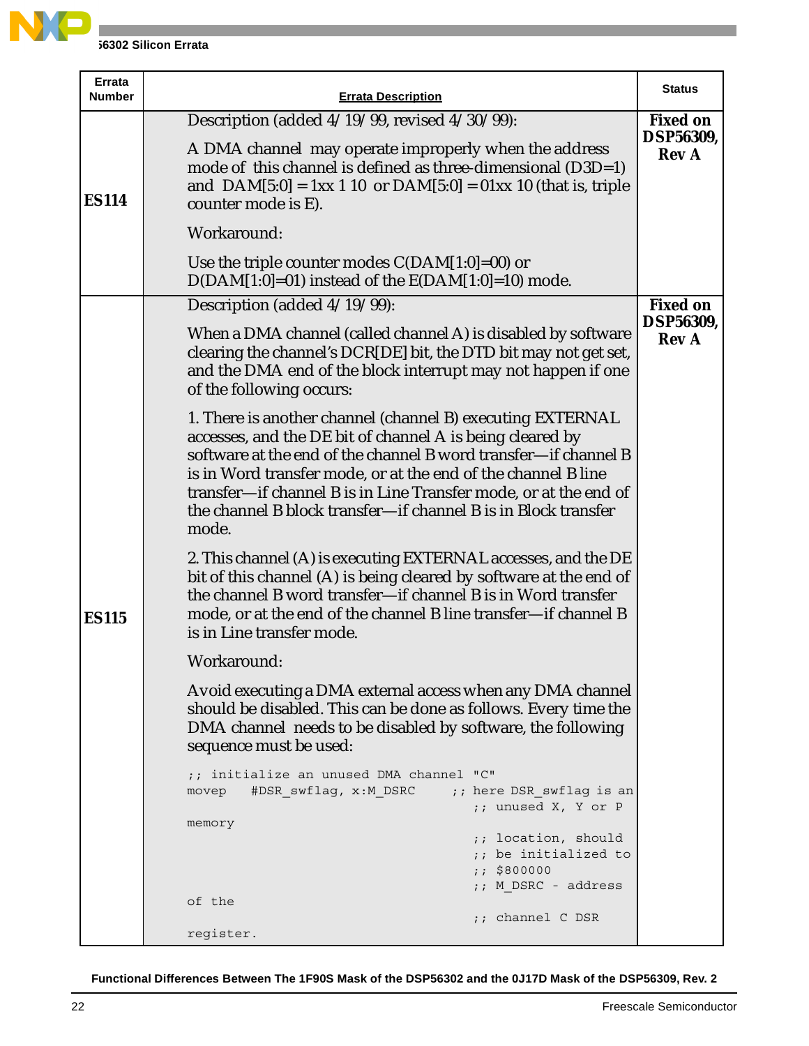

**J6302 Silicon Errata** 

| Errata<br><b>Number</b> | <b>Errata Description</b>                                                                                                                                                                                                                                                                                                                                                                                  | <b>Status</b>                                |
|-------------------------|------------------------------------------------------------------------------------------------------------------------------------------------------------------------------------------------------------------------------------------------------------------------------------------------------------------------------------------------------------------------------------------------------------|----------------------------------------------|
| <b>ES114</b>            | Description (added 4/19/99, revised 4/30/99):<br>A DMA channel may operate improperly when the address<br>mode of this channel is defined as three-dimensional (D3D=1)<br>and $DAM[5:0] = 1xx 1 10$ or $DAM[5:0] = 01xx 10$ (that is, triple<br>counter mode is E).                                                                                                                                        | <b>Fixed on</b><br>DSP56309,<br><b>Rev A</b> |
|                         | Workaround:                                                                                                                                                                                                                                                                                                                                                                                                |                                              |
|                         | Use the triple counter modes $C(DAM[1:0]=00)$ or<br>$D(DAM[1:0]=01)$ instead of the $E(DAM[1:0]=10)$ mode.                                                                                                                                                                                                                                                                                                 |                                              |
|                         | Description (added 4/19/99):                                                                                                                                                                                                                                                                                                                                                                               | <b>Fixed on</b>                              |
|                         | When a DMA channel (called channel A) is disabled by software<br>clearing the channel's DCR[DE] bit, the DTD bit may not get set,<br>and the DMA end of the block interrupt may not happen if one<br>of the following occurs:                                                                                                                                                                              | DSP56309,<br><b>Rev A</b>                    |
| <b>ES115</b>            | 1. There is another channel (channel B) executing EXTERNAL<br>accesses, and the DE bit of channel A is being cleared by<br>software at the end of the channel B word transfer-if channel B<br>is in Word transfer mode, or at the end of the channel B line<br>transfer-if channel B is in Line Transfer mode, or at the end of<br>the channel B block transfer-if channel B is in Block transfer<br>mode. |                                              |
|                         | 2. This channel (A) is executing EXTERNAL accesses, and the DE<br>bit of this channel (A) is being cleared by software at the end of<br>the channel B word transfer-if channel B is in Word transfer<br>mode, or at the end of the channel B line transfer—if channel B<br>is in Line transfer mode.                                                                                                       |                                              |
|                         | Workaround:                                                                                                                                                                                                                                                                                                                                                                                                |                                              |
|                         | Avoid executing a DMA external access when any DMA channel<br>should be disabled. This can be done as follows. Every time the<br>DMA channel needs to be disabled by software, the following<br>sequence must be used:                                                                                                                                                                                     |                                              |
|                         | ;; initialize an unused DMA channel "C"<br>#DSR swflag, x:M DSRC<br>;; here DSR swflag is an<br>movep<br>;; unused X, Y or P                                                                                                                                                                                                                                                                               |                                              |
|                         | memory<br>;; location, should<br>;; be initialized to<br>: 5800000                                                                                                                                                                                                                                                                                                                                         |                                              |
|                         | ;; M DSRC - address<br>of the                                                                                                                                                                                                                                                                                                                                                                              |                                              |
|                         | ;; channel C DSR<br>register.                                                                                                                                                                                                                                                                                                                                                                              |                                              |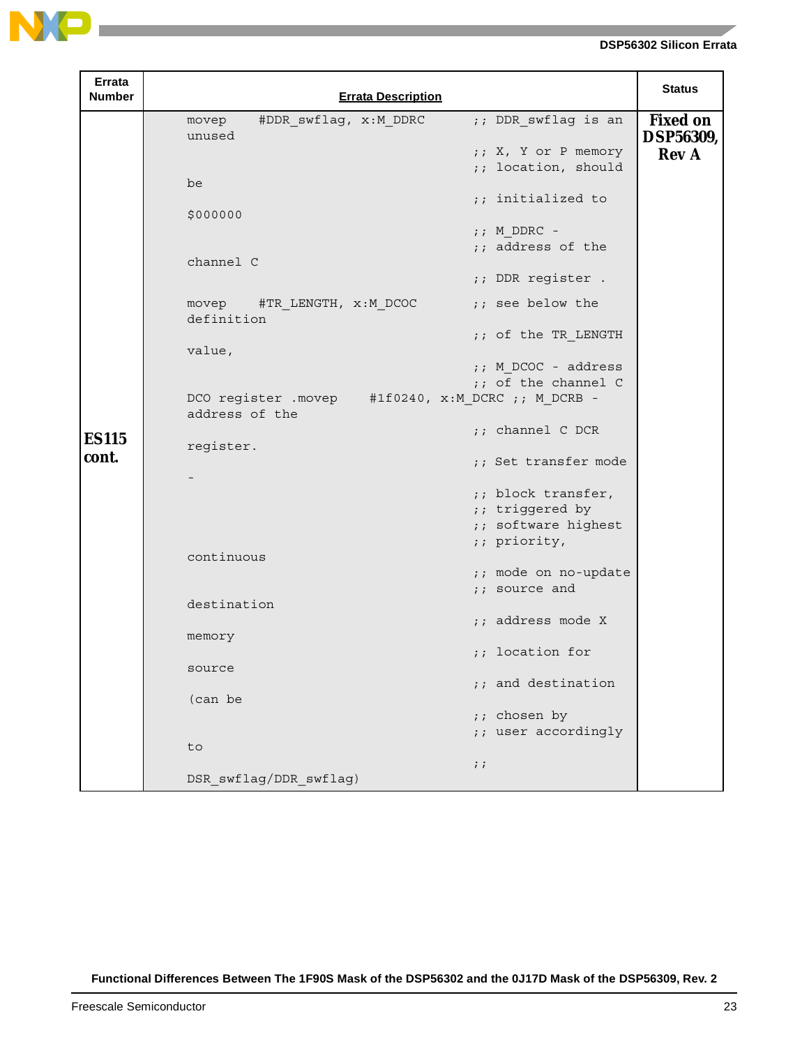

| Errata<br>Number      | <b>Errata Description</b>                                                                                                                                                                                                                                                                                                                                                                                                                                                                                                                                                                                                                          | <b>Status</b>                                       |
|-----------------------|----------------------------------------------------------------------------------------------------------------------------------------------------------------------------------------------------------------------------------------------------------------------------------------------------------------------------------------------------------------------------------------------------------------------------------------------------------------------------------------------------------------------------------------------------------------------------------------------------------------------------------------------------|-----------------------------------------------------|
| <b>ES115</b><br>cont. | #DDR swflag, x:M DDRC<br>;; DDR swflag is an<br>movep<br>unused<br>;; X, Y or P memory<br>;; location, should<br>be<br>;; initialized to<br>\$000000<br>$;$ M DDRC -<br>;; address of the<br>channel C<br>;; DDR register .<br>;; see below the<br>movep #TR LENGTH, x:M DCOC<br>definition<br>;; of the TR LENGTH<br>value,<br>;; M DCOC - address<br>;; of the channel C<br>DCO register .movep #1f0240, x:M DCRC ;; M DCRB -<br>address of the<br>$:$ channel C DCR<br>register.<br>;; Set transfer mode<br>;; block transfer,<br>;; triggered by<br>;; software highest<br>;; priority,<br>continuous<br>;; mode on no-update<br>;; source and | <b>Fixed on</b><br><b>DSP56309,</b><br><b>Rev A</b> |
|                       | destination<br>;; address mode X<br>memory<br>;; location for<br>source<br>;; and destination<br>(can be<br>;; chosen by<br>;; user accordingly<br>to<br>$\cdots$                                                                                                                                                                                                                                                                                                                                                                                                                                                                                  |                                                     |
|                       | DSR swflag/DDR swflag)                                                                                                                                                                                                                                                                                                                                                                                                                                                                                                                                                                                                                             |                                                     |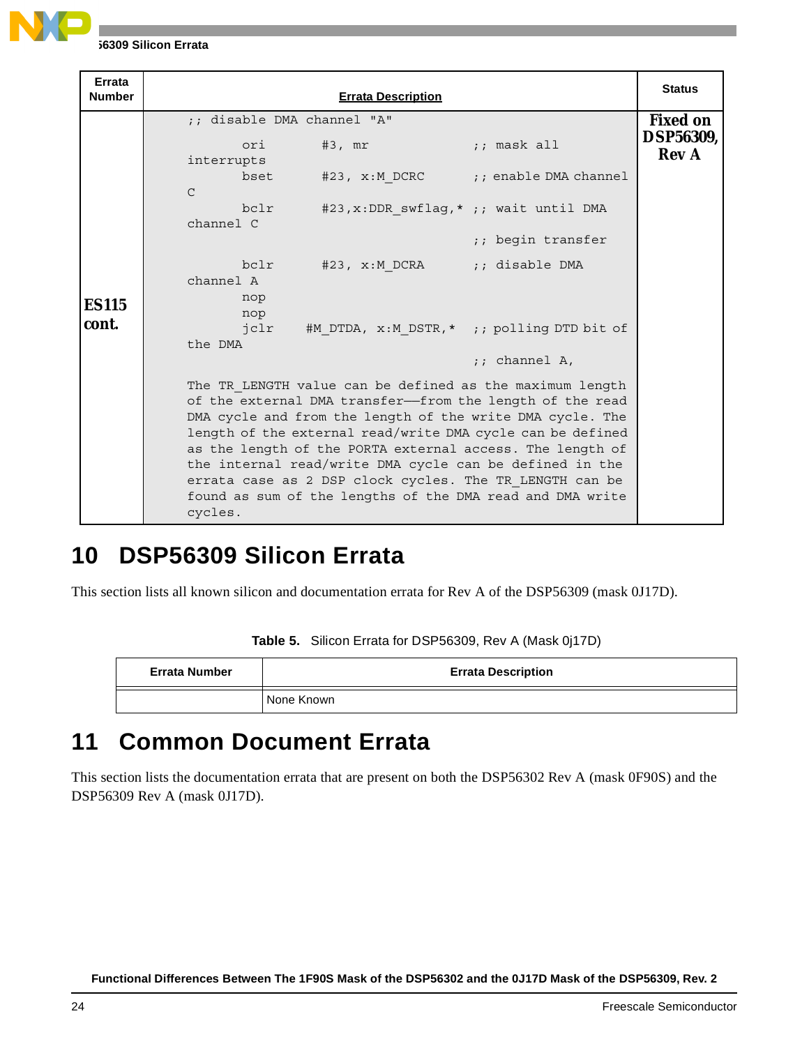

| Errata<br><b>Number</b> | <b>Errata Description</b>                                                                                                                                                                                                                                                                                                                                                                                                                                                                                  | <b>Status</b>                    |
|-------------------------|------------------------------------------------------------------------------------------------------------------------------------------------------------------------------------------------------------------------------------------------------------------------------------------------------------------------------------------------------------------------------------------------------------------------------------------------------------------------------------------------------------|----------------------------------|
|                         | :: disable DMA channel "A"                                                                                                                                                                                                                                                                                                                                                                                                                                                                                 | <b>Fixed on</b>                  |
|                         | $#3$ , $mr$<br>$\frac{1}{2}$ ; mask all<br>ori<br>interrupts                                                                                                                                                                                                                                                                                                                                                                                                                                               | <b>DSP56309,</b><br><b>Rev A</b> |
|                         | #23, x:M DCRC ;; enable DMA channel<br>bset<br>$\mathcal{C}$                                                                                                                                                                                                                                                                                                                                                                                                                                               |                                  |
|                         | bclr<br>#23, $x:$ DDR swflag, * ;; wait until DMA<br>channel C                                                                                                                                                                                                                                                                                                                                                                                                                                             |                                  |
|                         | ;; begin transfer                                                                                                                                                                                                                                                                                                                                                                                                                                                                                          |                                  |
|                         | #23, x:M DCRA ;; disable DMA<br>bclr<br>channel A                                                                                                                                                                                                                                                                                                                                                                                                                                                          |                                  |
| <b>ES115</b>            | nop<br>nop                                                                                                                                                                                                                                                                                                                                                                                                                                                                                                 |                                  |
| cont.                   | #M_DTDA, x:M_DSTR,* ;; polling DTD bit of<br>jclr<br>the DMA                                                                                                                                                                                                                                                                                                                                                                                                                                               |                                  |
|                         | $:$ ; channel A,                                                                                                                                                                                                                                                                                                                                                                                                                                                                                           |                                  |
|                         | The TR LENGTH value can be defined as the maximum length<br>of the external DMA transfer-from the length of the read<br>DMA cycle and from the length of the write DMA cycle. The<br>length of the external read/write DMA cycle can be defined<br>as the length of the PORTA external access. The length of<br>the internal read/write DMA cycle can be defined in the<br>errata case as 2 DSP clock cycles. The TR LENGTH can be<br>found as sum of the lengths of the DMA read and DMA write<br>cycles. |                                  |

### **10 DSP56309 Silicon Errata**

This section lists all known silicon and documentation errata for Rev A of the DSP56309 (mask 0J17D).

|  |  | Table 5. Silicon Errata for DSP56309, Rev A (Mask 0j17D) |  |  |  |
|--|--|----------------------------------------------------------|--|--|--|
|--|--|----------------------------------------------------------|--|--|--|

| <b>Errata Number</b> | <b>Errata Description</b> |
|----------------------|---------------------------|
|                      | None Known                |

### **11 Common Document Errata**

This section lists the documentation errata that are present on both the DSP56302 Rev A (mask 0F90S) and the DSP56309 Rev A (mask 0J17D).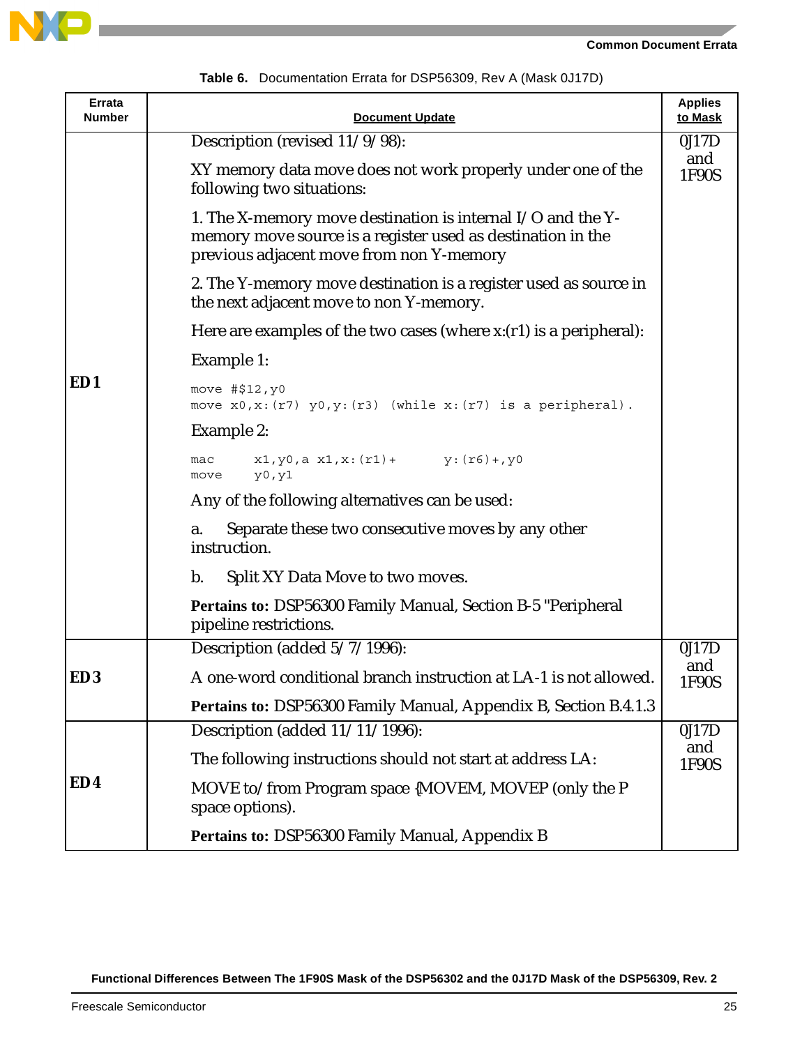



| Errata<br><b>Number</b> | <b>Document Update</b>                                                                                                                                                   | <b>Applies</b><br>to Mask |
|-------------------------|--------------------------------------------------------------------------------------------------------------------------------------------------------------------------|---------------------------|
|                         | Description (revised 11/9/98):                                                                                                                                           | 0J17D                     |
|                         | XY memory data move does not work properly under one of the<br>following two situations:                                                                                 | and<br>1F90S              |
|                         | 1. The X-memory move destination is internal $I/O$ and the Y-<br>memory move source is a register used as destination in the<br>previous adjacent move from non Y-memory |                           |
|                         | 2. The Y-memory move destination is a register used as source in<br>the next adjacent move to non Y-memory.                                                              |                           |
|                         | Here are examples of the two cases (where $x:(r1)$ is a peripheral):                                                                                                     |                           |
|                         | Example 1:                                                                                                                                                               |                           |
| ED1                     | move #\$12, y0<br>move $x0, x: (r7)$ $y0, y: (r3)$ (while $x: (r7)$ is a peripheral).                                                                                    |                           |
|                         | Example 2:                                                                                                                                                               |                           |
|                         | $x1, y0, a x1, x: (r1) + y: (r6) + y0$<br>mac<br>y0, y1<br>move                                                                                                          |                           |
|                         | Any of the following alternatives can be used:                                                                                                                           |                           |
|                         | Separate these two consecutive moves by any other<br>a.<br>instruction.                                                                                                  |                           |
|                         | $\mathbf{b}$ .<br>Split XY Data Move to two moves.                                                                                                                       |                           |
|                         | <b>Pertains to: DSP56300 Family Manual, Section B-5 "Peripheral</b><br>pipeline restrictions.                                                                            |                           |
|                         | Description (added 5/7/1996):                                                                                                                                            | 0J17D                     |
| ED <sub>3</sub>         | A one-word conditional branch instruction at LA-1 is not allowed.                                                                                                        | and<br>1F90S              |
|                         | Pertains to: DSP56300 Family Manual, Appendix B, Section B.4.1.3                                                                                                         |                           |
|                         | Description (added 11/11/1996):                                                                                                                                          | 0J17D                     |
|                         | The following instructions should not start at address LA:                                                                                                               | and<br>1F90S              |
| ED4                     | MOVE to/from Program space {MOVEM, MOVEP (only the P<br>space options).                                                                                                  |                           |
|                         | Pertains to: DSP56300 Family Manual, Appendix B                                                                                                                          |                           |

**Table 6.** Documentation Errata for DSP56309, Rev A (Mask 0J17D)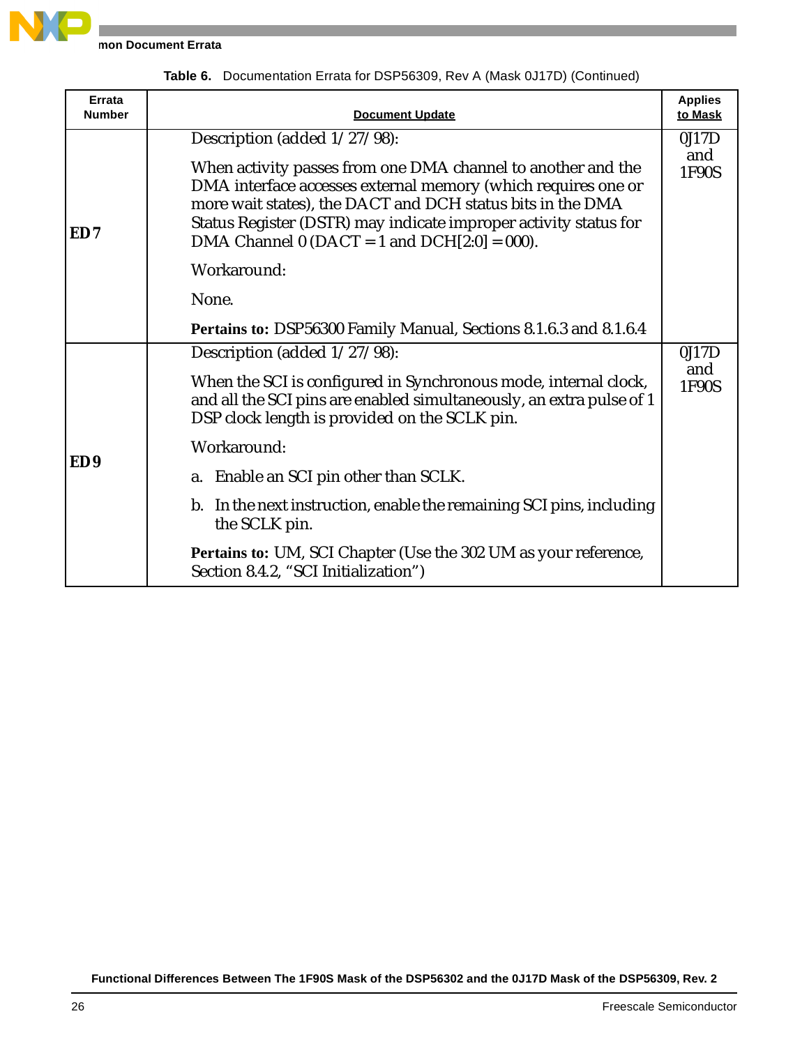

**mon Document Errata** 

| Errata<br><b>Number</b> | <b>Document Update</b>                                                                                                                                                                                                                                                                                                                                             | <b>Applies</b><br>to Mask |
|-------------------------|--------------------------------------------------------------------------------------------------------------------------------------------------------------------------------------------------------------------------------------------------------------------------------------------------------------------------------------------------------------------|---------------------------|
| ED7                     | Description (added 1/27/98):<br>When activity passes from one DMA channel to another and the<br>DMA interface accesses external memory (which requires one or<br>more wait states), the DACT and DCH status bits in the DMA<br>Status Register (DSTR) may indicate improper activity status for<br>DMA Channel 0 (DACT = 1 and DCH $[2:0] = 000$ ).<br>Workaround: | 0J17D<br>and<br>1F90S     |
|                         | None.<br>Pertains to: DSP56300 Family Manual, Sections 8.1.6.3 and 8.1.6.4                                                                                                                                                                                                                                                                                         |                           |
| ED <sub>9</sub>         | Description (added 1/27/98):<br>When the SCI is configured in Synchronous mode, internal clock,<br>and all the SCI pins are enabled simultaneously, an extra pulse of 1                                                                                                                                                                                            | 0J17D<br>and<br>1F90S     |
|                         | DSP clock length is provided on the SCLK pin.<br>Workaround:<br>Enable an SCI pin other than SCLK.<br>a.<br>b. In the next instruction, enable the remaining SCI pins, including<br>the SCLK pin.                                                                                                                                                                  |                           |
|                         | Pertains to: UM, SCI Chapter (Use the 302 UM as your reference,<br>Section 8.4.2, "SCI Initialization")                                                                                                                                                                                                                                                            |                           |

**Table 6.** Documentation Errata for DSP56309, Rev A (Mask 0J17D) (Continued)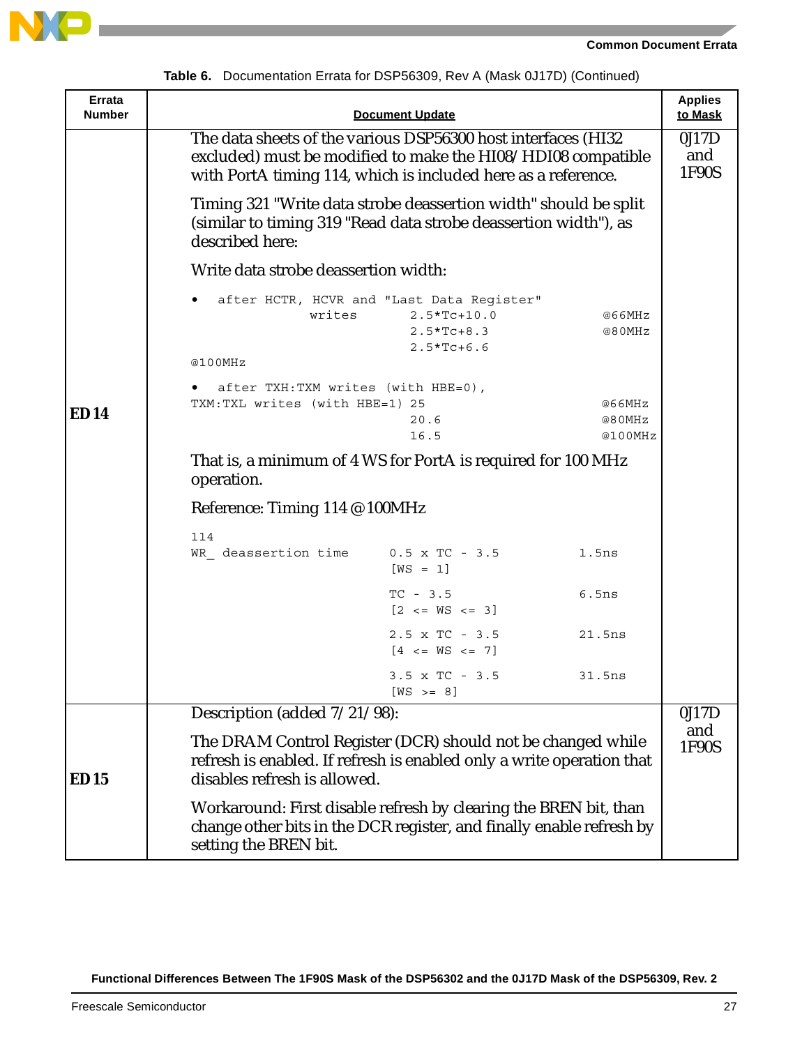



| Errata<br><b>Number</b> |                                                                                                                                                                                                | <b>Document Update</b>                                                                     |                             | <b>Applies</b><br>to Mask |
|-------------------------|------------------------------------------------------------------------------------------------------------------------------------------------------------------------------------------------|--------------------------------------------------------------------------------------------|-----------------------------|---------------------------|
|                         | The data sheets of the various DSP56300 host interfaces (HI32<br>excluded) must be modified to make the HI08/HDI08 compatible<br>with PortA timing 114, which is included here as a reference. |                                                                                            |                             | 0J17D<br>and<br>1F90S     |
|                         | Timing 321 "Write data strobe deassertion width" should be split<br>(similar to timing 319 "Read data strobe deassertion width"), as<br>described here:                                        |                                                                                            |                             |                           |
|                         | Write data strobe deassertion width:                                                                                                                                                           |                                                                                            |                             |                           |
|                         | writes<br>@100MHz                                                                                                                                                                              | after HCTR, HCVR and "Last Data Register"<br>$2.5*Tc+10.0$<br>$2.5*Tc+8.3$<br>$2.5*TC+6.6$ | @66MHz<br>@80MHz            |                           |
| ED14                    | after TXH: TXM writes (with HBE=0),<br>TXM: TXL writes (with HBE=1) 25                                                                                                                         | 20.6<br>16.5                                                                               | @66MHz<br>@80MHz<br>@100MHz |                           |
|                         | That is, a minimum of 4 WS for PortA is required for 100 MHz<br>operation.                                                                                                                     |                                                                                            |                             |                           |
|                         | Reference: Timing 114 @ 100MHz                                                                                                                                                                 |                                                                                            |                             |                           |
|                         | 114                                                                                                                                                                                            |                                                                                            |                             |                           |
|                         | WR deassertion time $0.5 \times TC - 3.5$                                                                                                                                                      | $[WS = 1]$                                                                                 | 1.5ns                       |                           |
|                         |                                                                                                                                                                                                | $TC - 3.5$<br>$[2 \leq \leq W S \leq 3]$                                                   | 6.5ns                       |                           |
|                         |                                                                                                                                                                                                | $2.5 \times TC - 3.5$<br>$[4 \leq N S \leq 7]$                                             | 21.5ns                      |                           |
|                         |                                                                                                                                                                                                | $3.5 \times TC - 3.5$<br>$[WS \rightarrow = 8]$                                            | 31.5ns                      |                           |
|                         | Description (added $7/21/\overline{98}$ ):                                                                                                                                                     |                                                                                            |                             | 0J17D                     |
| ED15                    | The DRAM Control Register (DCR) should not be changed while<br>refresh is enabled. If refresh is enabled only a write operation that<br>disables refresh is allowed.                           |                                                                                            |                             | and<br>1F90S              |
|                         | Workaround: First disable refresh by clearing the BREN bit, than<br>change other bits in the DCR register, and finally enable refresh by<br>setting the BREN bit.                              |                                                                                            |                             |                           |

**Table 6.** Documentation Errata for DSP56309, Rev A (Mask 0J17D) (Continued)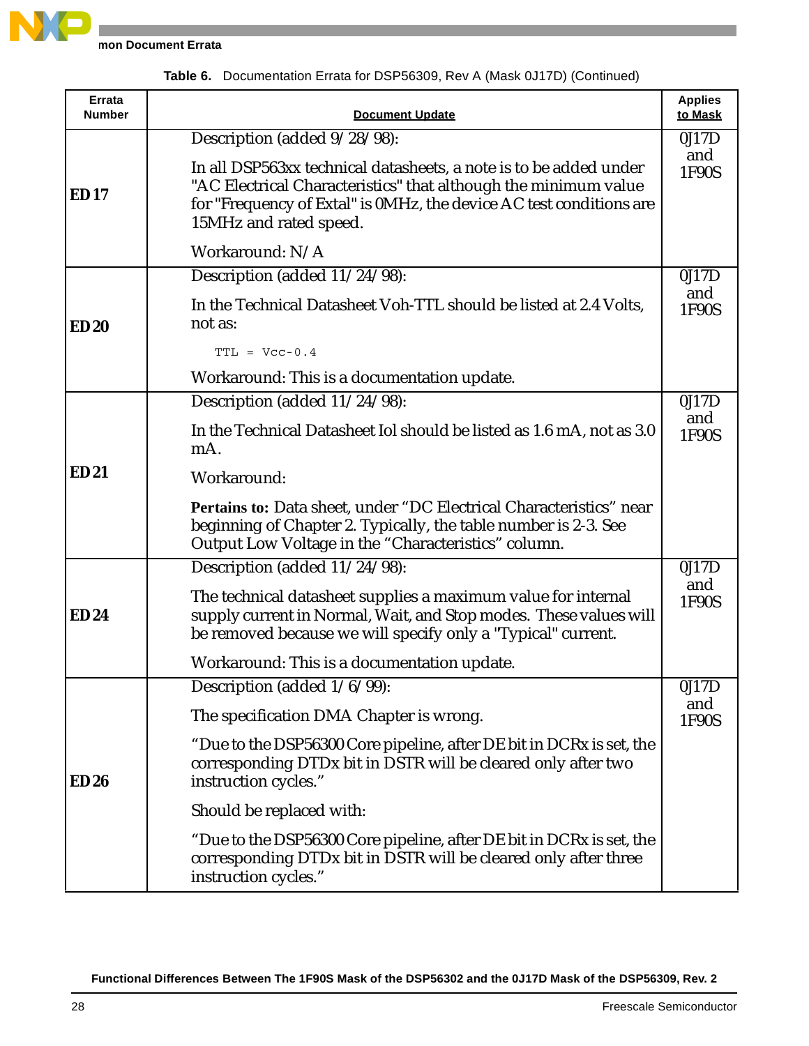

**mon Document Errata** 

| <b>Errata</b><br><b>Number</b> | <b>Document Update</b>                                                                                                                                                                                                                | <b>Applies</b><br>to Mask |
|--------------------------------|---------------------------------------------------------------------------------------------------------------------------------------------------------------------------------------------------------------------------------------|---------------------------|
|                                | Description (added 9/28/98):                                                                                                                                                                                                          | 0J17D                     |
| <b>ED17</b>                    | In all DSP563xx technical datasheets, a note is to be added under<br>"AC Electrical Characteristics" that although the minimum value<br>for "Frequency of Extal" is 0MHz, the device AC test conditions are<br>15MHz and rated speed. | and<br>1F90S              |
|                                | Workaround: N/A                                                                                                                                                                                                                       |                           |
|                                | Description (added 11/24/98):                                                                                                                                                                                                         | 0J17D                     |
| <b>ED20</b>                    | In the Technical Datasheet Voh-TTL should be listed at 2.4 Volts,<br>not as:                                                                                                                                                          | and<br>1F90S              |
|                                | $TTL = Vcc-0.4$                                                                                                                                                                                                                       |                           |
|                                | Workaround: This is a documentation update.                                                                                                                                                                                           |                           |
|                                | Description (added 11/24/98):                                                                                                                                                                                                         | 0J17D                     |
|                                | In the Technical Datasheet Iol should be listed as 1.6 mA, not as 3.0<br>mA.                                                                                                                                                          | and<br>1F90S              |
| <b>ED21</b>                    | Workaround:                                                                                                                                                                                                                           |                           |
|                                | Pertains to: Data sheet, under "DC Electrical Characteristics" near<br>beginning of Chapter 2. Typically, the table number is 2-3. See<br>Output Low Voltage in the "Characteristics" column.                                         |                           |
|                                | Description (added 11/24/98):                                                                                                                                                                                                         | 0J17D                     |
| <b>ED24</b>                    | The technical datasheet supplies a maximum value for internal<br>supply current in Normal, Wait, and Stop modes. These values will<br>be removed because we will specify only a "Typical" current.                                    | and<br>1F90S              |
|                                | Workaround: This is a documentation update.                                                                                                                                                                                           |                           |
|                                | Description (added 1/6/99):                                                                                                                                                                                                           | 0J17D                     |
|                                | The specification DMA Chapter is wrong.                                                                                                                                                                                               | and<br>1F90S              |
| <b>ED26</b>                    | "Due to the DSP56300 Core pipeline, after DE bit in DCRx is set, the<br>corresponding DTDx bit in DSTR will be cleared only after two<br>instruction cycles."                                                                         |                           |
|                                | Should be replaced with:                                                                                                                                                                                                              |                           |
|                                | "Due to the DSP56300 Core pipeline, after DE bit in DCRx is set, the<br>corresponding DTDx bit in DSTR will be cleared only after three<br>instruction cycles."                                                                       |                           |

**Table 6.** Documentation Errata for DSP56309, Rev A (Mask 0J17D) (Continued)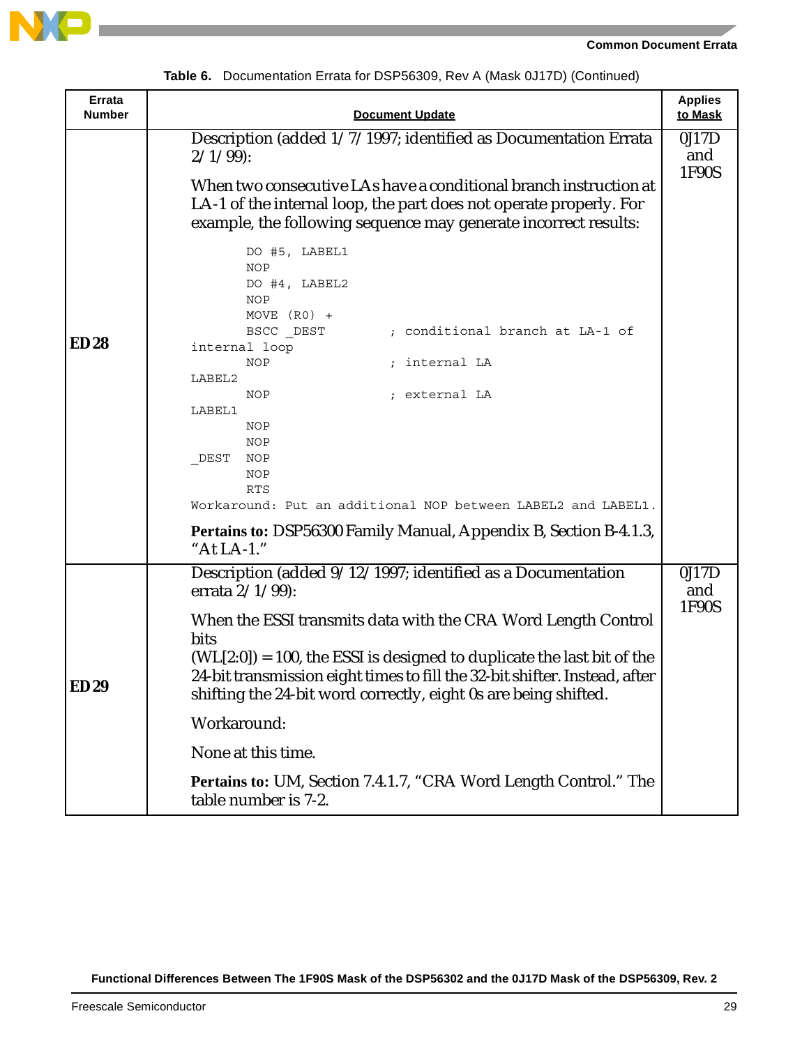

**Applies**



**Errata** 

| <b>Number</b> | <b>Document Update</b>                                                                                                                                                                                                     | to Mask      |
|---------------|----------------------------------------------------------------------------------------------------------------------------------------------------------------------------------------------------------------------------|--------------|
|               | Description (added 1/7/1997; identified as Documentation Errata<br>$2/1/99$ :                                                                                                                                              | 0J17D<br>and |
|               | When two consecutive LAs have a conditional branch instruction at<br>LA-1 of the internal loop, the part does not operate properly. For<br>example, the following sequence may generate incorrect results:                 | 1F90S        |
|               | DO #5, LABEL1<br>NOP<br>DO #4, LABEL2<br>NOP<br>MOVE $(R0)$ +<br>; conditional branch at LA-1 of                                                                                                                           |              |
| <b>ED28</b>   | BSCC DEST<br>internal loop                                                                                                                                                                                                 |              |
|               | ; internal LA<br>NOP                                                                                                                                                                                                       |              |
|               | LABEL2<br>; external LA<br>NOP                                                                                                                                                                                             |              |
|               | LABEL1                                                                                                                                                                                                                     |              |
|               | NOP                                                                                                                                                                                                                        |              |
|               | NOP                                                                                                                                                                                                                        |              |
|               | DEST<br>NOP<br>NOP                                                                                                                                                                                                         |              |
|               | <b>RTS</b>                                                                                                                                                                                                                 |              |
|               | Workaround: Put an additional NOP between LABEL2 and LABEL1.                                                                                                                                                               |              |
|               | Pertains to: DSP56300 Family Manual, Appendix B, Section B-4.1.3,<br>"At LA-1."                                                                                                                                            |              |
|               | Description (added 9/12/1997; identified as a Documentation<br>errata $2/1/99$ :                                                                                                                                           | 0J17D<br>and |
|               | When the ESSI transmits data with the CRA Word Length Control<br><b>bits</b>                                                                                                                                               | 1F90S        |
| <b>ED29</b>   | $(WL[2:0]) = 100$ , the ESSI is designed to duplicate the last bit of the<br>24-bit transmission eight times to fill the 32-bit shifter. Instead, after<br>shifting the 24-bit word correctly, eight 0s are being shifted. |              |
|               | Workaround:                                                                                                                                                                                                                |              |
|               | None at this time.                                                                                                                                                                                                         |              |
|               | Pertains to: UM, Section 7.4.1.7, "CRA Word Length Control." The<br>table number is 7-2.                                                                                                                                   |              |

**Table 6.** Documentation Errata for DSP56309, Rev A (Mask 0J17D) (Continued)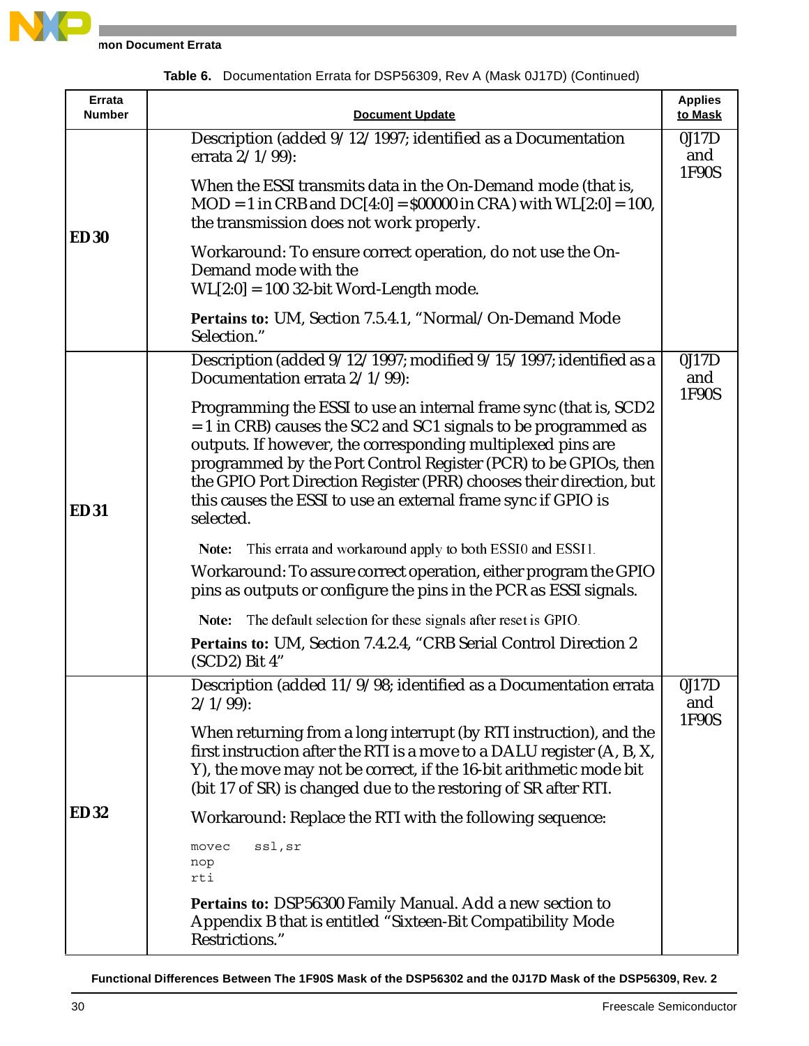

**mon Document Errata** 

|  |  | Table 6. Documentation Errata for DSP56309, Rev A (Mask 0J17D) (Continued) |  |  |
|--|--|----------------------------------------------------------------------------|--|--|
|--|--|----------------------------------------------------------------------------|--|--|

| Errata<br><b>Number</b> | <b>Document Update</b>                                                                                                                                                                                                                                                                                                                                                                                                       | <b>Applies</b><br>to Mask |
|-------------------------|------------------------------------------------------------------------------------------------------------------------------------------------------------------------------------------------------------------------------------------------------------------------------------------------------------------------------------------------------------------------------------------------------------------------------|---------------------------|
|                         | Description (added 9/12/1997; identified as a Documentation<br>errata 2/1/99):                                                                                                                                                                                                                                                                                                                                               | 0J17D<br>and<br>1F90S     |
| <b>ED30</b>             | When the ESSI transmits data in the On-Demand mode (that is,<br>$MOD = 1$ in CRB and $DC[4:0] = $00000$ in CRA) with $WL[2:0] = 100$ ,<br>the transmission does not work properly.                                                                                                                                                                                                                                           |                           |
|                         | Workaround: To ensure correct operation, do not use the On-<br>Demand mode with the<br>$WL[2:0] = 100$ 32-bit Word-Length mode.                                                                                                                                                                                                                                                                                              |                           |
|                         | Pertains to: UM, Section 7.5.4.1, "Normal/On-Demand Mode<br>Selection."                                                                                                                                                                                                                                                                                                                                                      |                           |
|                         | Description (added 9/12/1997; modified 9/15/1997; identified as a<br>Documentation errata 2/1/99):                                                                                                                                                                                                                                                                                                                           | 0J17D<br>and<br>1F90S     |
| <b>ED31</b>             | Programming the ESSI to use an internal frame sync (that is, SCD2<br>$= 1$ in CRB) causes the SC2 and SC1 signals to be programmed as<br>outputs. If however, the corresponding multiplexed pins are<br>programmed by the Port Control Register (PCR) to be GPIOs, then<br>the GPIO Port Direction Register (PRR) chooses their direction, but<br>this causes the ESSI to use an external frame sync if GPIO is<br>selected. |                           |
|                         | Note: This errata and workaround apply to both ESSI0 and ESSI1.                                                                                                                                                                                                                                                                                                                                                              |                           |
|                         | Workaround: To assure correct operation, either program the GPIO<br>pins as outputs or configure the pins in the PCR as ESSI signals.                                                                                                                                                                                                                                                                                        |                           |
|                         | Note: The default selection for these signals after reset is GPIO.                                                                                                                                                                                                                                                                                                                                                           |                           |
|                         | Pertains to: UM, Section 7.4.2.4, "CRB Serial Control Direction 2<br>(SCD2) Bit 4"                                                                                                                                                                                                                                                                                                                                           |                           |
|                         | Description (added 11/9/98; identified as a Documentation errata<br>$2/1/99$ :                                                                                                                                                                                                                                                                                                                                               | 0J17D<br>and              |
| <b>ED32</b>             | When returning from a long interrupt (by RTI instruction), and the<br>first instruction after the RTI is a move to a DALU register (A, B, X,<br>Y), the move may not be correct, if the 16-bit arithmetic mode bit<br>(bit 17 of SR) is changed due to the restoring of SR after RTI.                                                                                                                                        | 1F90S                     |
|                         | Workaround: Replace the RTI with the following sequence:                                                                                                                                                                                                                                                                                                                                                                     |                           |
|                         | ssl, sr<br>movec<br>nop<br>rti                                                                                                                                                                                                                                                                                                                                                                                               |                           |
|                         | Pertains to: DSP56300 Family Manual. Add a new section to<br>Appendix B that is entitled "Sixteen-Bit Compatibility Mode<br>Restrictions."                                                                                                                                                                                                                                                                                   |                           |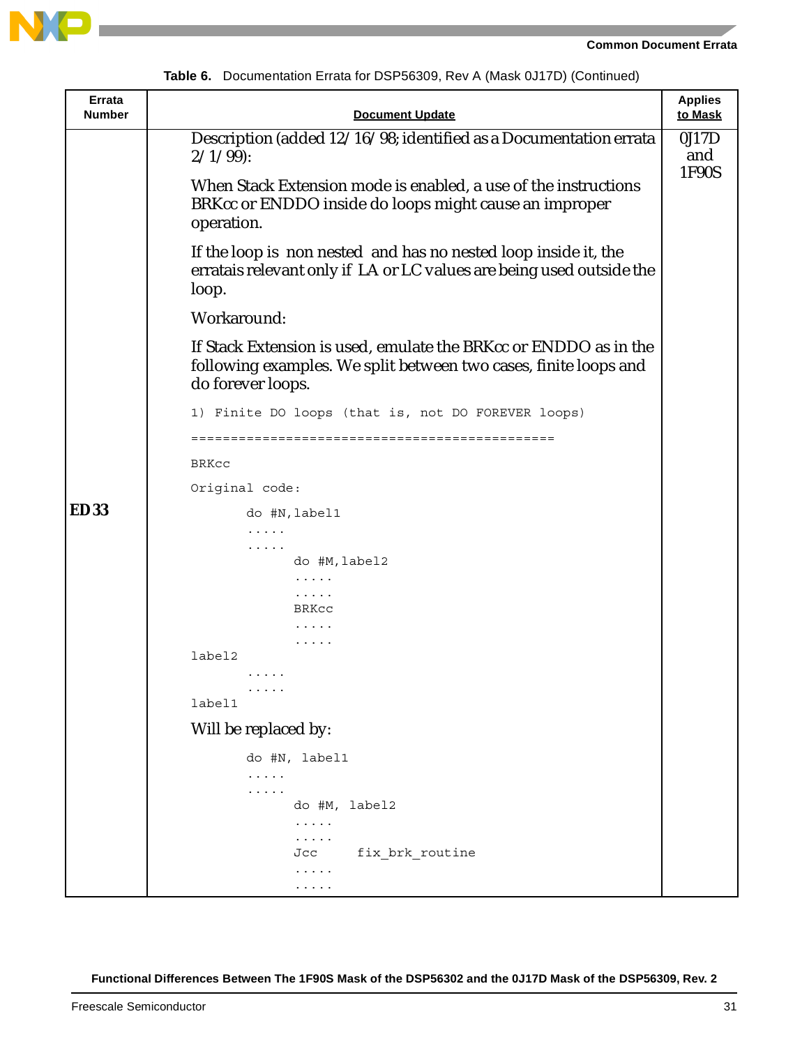



|  |  | Table 6. Documentation Errata for DSP56309, Rev A (Mask 0J17D) (Continued) |  |  |  |
|--|--|----------------------------------------------------------------------------|--|--|--|
|--|--|----------------------------------------------------------------------------|--|--|--|

| Errata<br><b>Number</b> | <b>Document Update</b>                                                                                                                                    | <b>Applies</b><br>to Mask |
|-------------------------|-----------------------------------------------------------------------------------------------------------------------------------------------------------|---------------------------|
|                         | Description (added 12/16/98; identified as a Documentation errata<br>$2/1/99$ :                                                                           | 0J17D<br>and              |
|                         | When Stack Extension mode is enabled, a use of the instructions<br>BRKcc or ENDDO inside do loops might cause an improper<br>operation.                   | 1F90S                     |
|                         | If the loop is non nested and has no nested loop inside it, the<br>erratais relevant only if LA or LC values are being used outside the<br>loop.          |                           |
|                         | Workaround:                                                                                                                                               |                           |
|                         | If Stack Extension is used, emulate the BRKcc or ENDDO as in the<br>following examples. We split between two cases, finite loops and<br>do forever loops. |                           |
|                         | 1) Finite DO loops (that is, not DO FOREVER loops)                                                                                                        |                           |
|                         |                                                                                                                                                           |                           |
|                         | BRKcc                                                                                                                                                     |                           |
|                         | Original code:                                                                                                                                            |                           |
| <b>ED33</b>             | do #N, label1                                                                                                                                             |                           |
|                         | .<br>.                                                                                                                                                    |                           |
|                         | do #M, label2                                                                                                                                             |                           |
|                         | .                                                                                                                                                         |                           |
|                         | $\cdots$<br>BRKCC                                                                                                                                         |                           |
|                         | $\cdots$                                                                                                                                                  |                           |
|                         | .<br>label2                                                                                                                                               |                           |
|                         | .                                                                                                                                                         |                           |
|                         | $\begin{array}{cccccccccccccc} \bullet & \bullet & \bullet & \bullet & \bullet & \bullet & \bullet \end{array}$<br>label1                                 |                           |
|                         | Will be replaced by:                                                                                                                                      |                           |
|                         | do #N, label1                                                                                                                                             |                           |
|                         | .                                                                                                                                                         |                           |
|                         | .                                                                                                                                                         |                           |
|                         | do #M, label2<br>.                                                                                                                                        |                           |
|                         | .                                                                                                                                                         |                           |
|                         | fix brk routine<br>Jcc                                                                                                                                    |                           |
|                         | .<br>.                                                                                                                                                    |                           |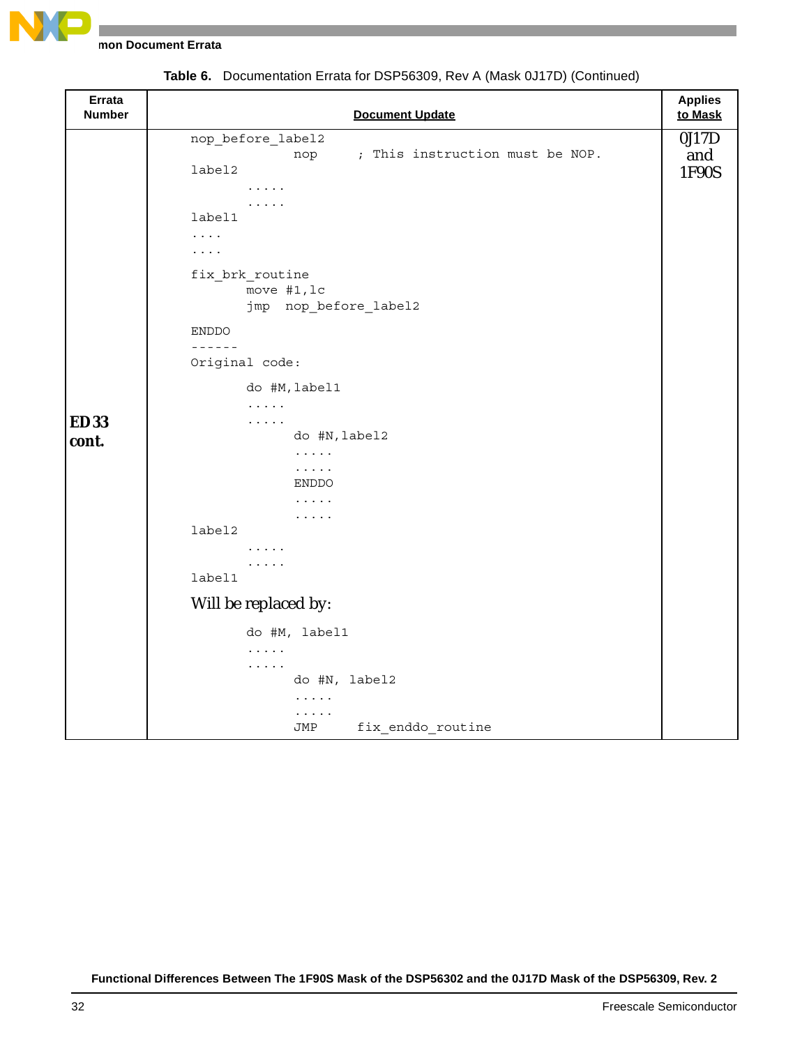

**mon Document Errata** 

| Errata<br><b>Number</b> | <b>Document Update</b>                                                                                                                                                                                                                            | <b>Applies</b><br>to Mask |
|-------------------------|---------------------------------------------------------------------------------------------------------------------------------------------------------------------------------------------------------------------------------------------------|---------------------------|
|                         | nop_before_label2<br>; This instruction must be NOP.<br>nop<br>label2<br>$\cdots$<br>$\cdots$<br>label1<br>$\cdots$<br>$\cdots$<br>fix_brk_routine<br>move #1, lc<br>jmp nop_before_label2<br><b>ENDDO</b><br>$- - - - - - -$<br>Original code:   | 0J17D<br>and<br>1F90S     |
| <b>ED33</b><br>cont.    | do #M, label1<br>$\cdots$<br>$\cdots$<br>do #N, label2<br>$\ldots$<br>$\dots$<br>ENDDO<br>.<br>$\cdots$<br>label2<br>$\cdots$<br>$\cdots$<br>label1<br>Will be replaced by:<br>do #M, label1<br>$\cdots$<br>$\cdots$<br>do #N, label2<br>$\ldots$ |                           |
|                         | .<br>fix enddo routine<br>JMP                                                                                                                                                                                                                     |                           |

**Table 6.** Documentation Errata for DSP56309, Rev A (Mask 0J17D) (Continued)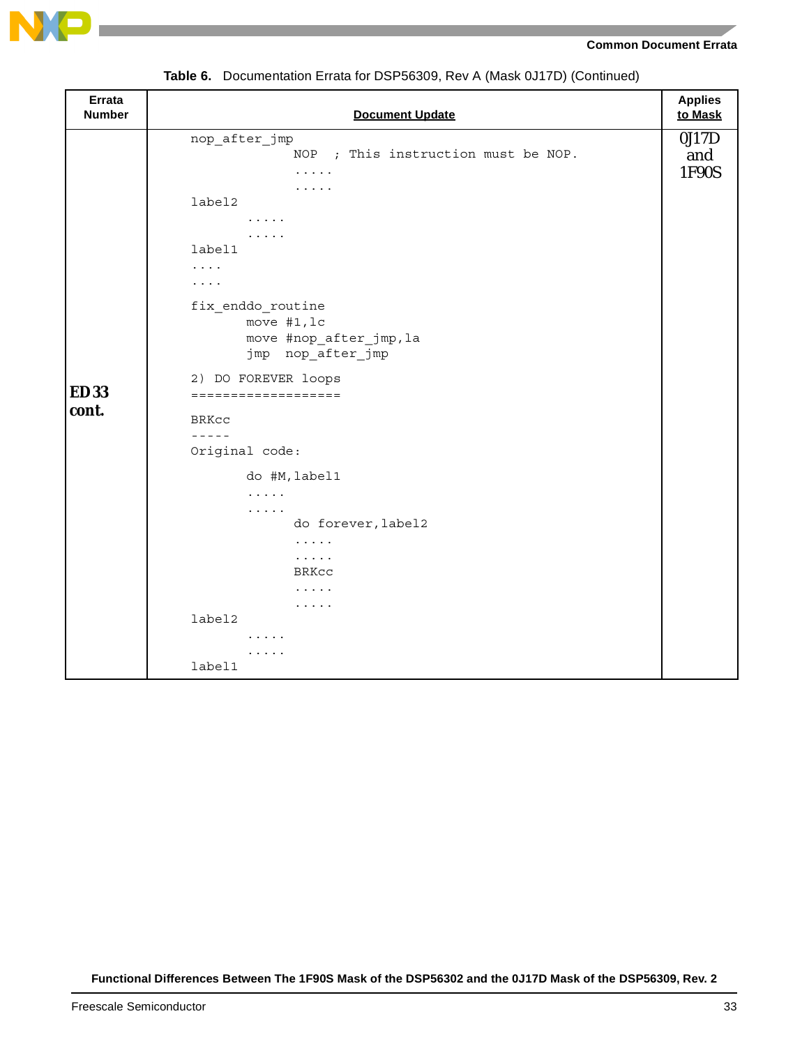

#### **Common Document Errata**

| Errata<br><b>Number</b> | <b>Document Update</b>                                                                                                                                                                                                                                                                                                                                                                                                                                                                | <b>Applies</b><br>to Mask |
|-------------------------|---------------------------------------------------------------------------------------------------------------------------------------------------------------------------------------------------------------------------------------------------------------------------------------------------------------------------------------------------------------------------------------------------------------------------------------------------------------------------------------|---------------------------|
| <b>ED33</b><br>cont.    | nop_after_jmp<br>NOP ; This instruction must be NOP.<br>$\cdots\cdots\cdots$<br>$\cdots$<br>label2<br>$\cdots\cdots\cdots$<br>.<br>label1<br>$\cdots$<br>$\cdots$<br>fix_enddo_routine<br>move #1, lc<br>move #nop_after_jmp, la<br>jmp nop_after_jmp<br>2) DO FOREVER loops<br>===================<br><b>BRKCC</b><br>$- - - - - -$<br>Original code:<br>do #M, label1<br>.<br>$\cdots$<br>do forever, label2<br>.<br>$\cdots\cdots$<br>BRKCC<br>$\cdots$<br>$\cdots$<br>label2<br>. | 0J17D<br>and<br>1F90S     |
|                         | .<br>label1                                                                                                                                                                                                                                                                                                                                                                                                                                                                           |                           |

**Table 6.** Documentation Errata for DSP56309, Rev A (Mask 0J17D) (Continued)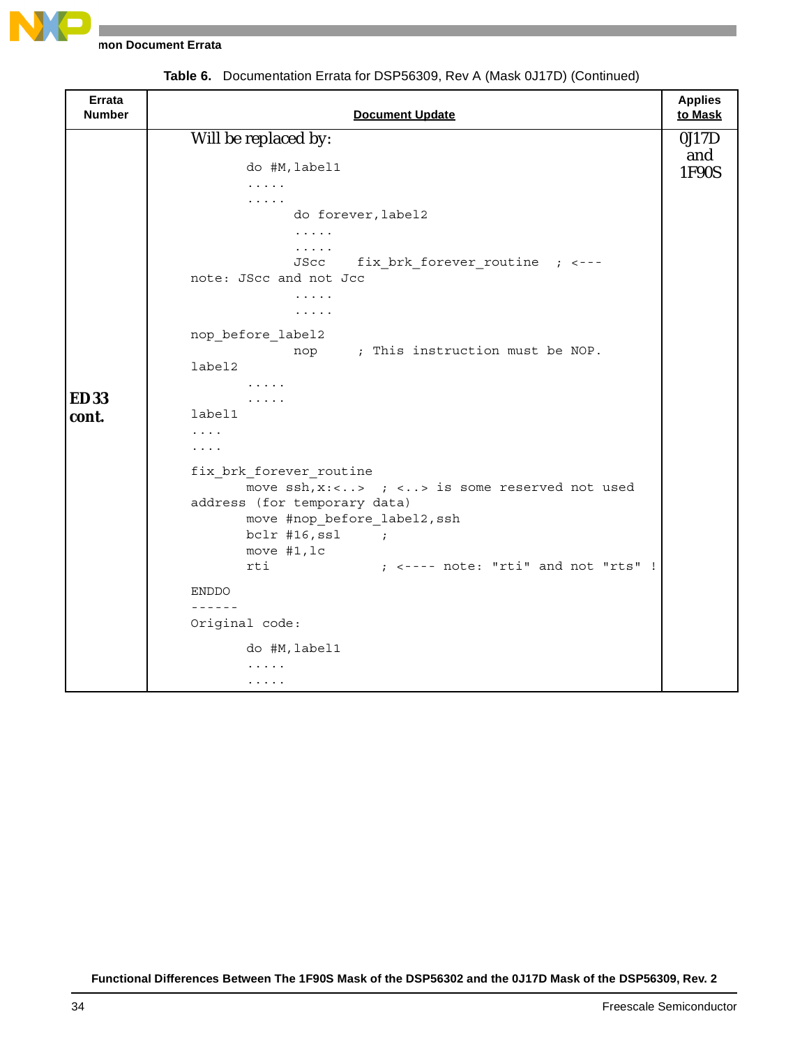

**mon Document Errata** 

| <b>Errata</b><br><b>Number</b> | <b>Document Update</b>                                          | <b>Applies</b><br>to Mask |
|--------------------------------|-----------------------------------------------------------------|---------------------------|
|                                | Will be replaced by:                                            | 0J17D                     |
|                                |                                                                 | and                       |
|                                | do #M, label1<br>$\ldots$                                       | 1F90S                     |
|                                | $\cdots$                                                        |                           |
|                                | do forever, label2                                              |                           |
|                                | $\cdots$                                                        |                           |
|                                | $\cdots$                                                        |                           |
|                                | fix brk forever routine ; <---<br>JScc                          |                           |
|                                | note: JScc and not Jcc                                          |                           |
|                                | $\cdots$                                                        |                           |
|                                | $\cdots$                                                        |                           |
|                                | nop_before_label2                                               |                           |
|                                | nop ; This instruction must be NOP.                             |                           |
|                                | label2                                                          |                           |
|                                | $\cdots\cdots\cdots$                                            |                           |
| <b>ED33</b>                    | $\cdots\cdots\cdots$                                            |                           |
| cont.                          | label1                                                          |                           |
|                                | .                                                               |                           |
|                                | .                                                               |                           |
|                                | fix brk forever routine                                         |                           |
|                                | move $\operatorname{ssh}$ , x:<> ; <> is some reserved not used |                           |
|                                | address (for temporary data)                                    |                           |
|                                | move #nop before label2, ssh                                    |                           |
|                                | $bc1r$ #16, ssl ;                                               |                           |
|                                | move #1, lc                                                     |                           |
|                                | $;$ <---- note: "rti" and not "rts" !<br>rti                    |                           |
|                                | <b>ENDDO</b>                                                    |                           |
|                                | $- - - - - -$                                                   |                           |
|                                | Original code:                                                  |                           |
|                                | do #M, label1                                                   |                           |
|                                | .                                                               |                           |
|                                | $\cdots$                                                        |                           |

**Table 6.** Documentation Errata for DSP56309, Rev A (Mask 0J17D) (Continued)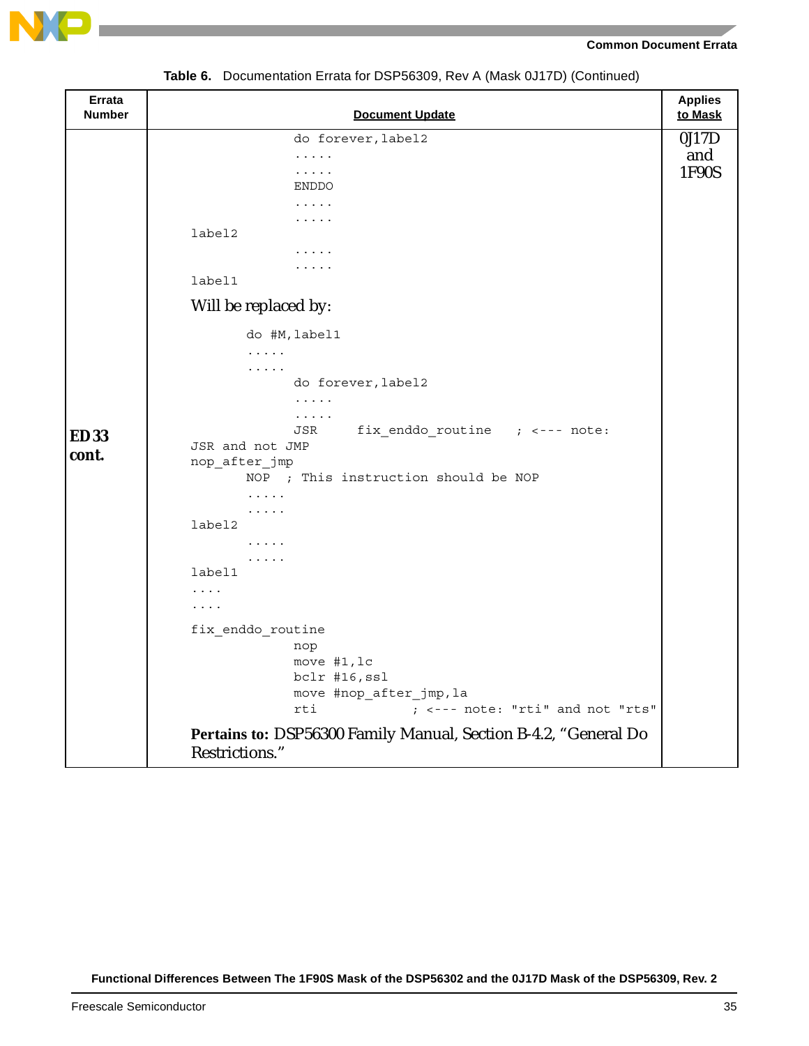

| Errata<br><b>Number</b> | <b>Document Update</b>                                                            | <b>Applies</b><br>to Mask |
|-------------------------|-----------------------------------------------------------------------------------|---------------------------|
|                         | do forever, label2                                                                | 0J17D                     |
|                         | .                                                                                 | and                       |
|                         | .                                                                                 | 1F90S                     |
|                         | <b>ENDDO</b><br>.                                                                 |                           |
|                         | .                                                                                 |                           |
|                         | label2                                                                            |                           |
|                         | $\cdots\cdots\cdots$                                                              |                           |
|                         | $\cdots\cdots\cdots$                                                              |                           |
|                         | label1                                                                            |                           |
|                         | Will be replaced by:                                                              |                           |
|                         | do #M, label1                                                                     |                           |
|                         | $\cdots$                                                                          |                           |
|                         | .                                                                                 |                           |
|                         | do forever, label2                                                                |                           |
|                         | $\cdots$<br>$\ldots$                                                              |                           |
| <b>ED33</b>             | fix enddo routine $;$ <--- note:<br>JSR                                           |                           |
| cont.                   | JSR and not JMP                                                                   |                           |
|                         | nop_after_jmp                                                                     |                           |
|                         | NOP ; This instruction should be NOP                                              |                           |
|                         | .<br>$\cdots$                                                                     |                           |
|                         | label2                                                                            |                           |
|                         | .                                                                                 |                           |
|                         | $\cdots$                                                                          |                           |
|                         | label1                                                                            |                           |
|                         | .<br>$\cdots$                                                                     |                           |
|                         |                                                                                   |                           |
|                         | fix enddo routine                                                                 |                           |
|                         | nop<br>move #1, lc                                                                |                           |
|                         | bclr #16, ssl                                                                     |                           |
|                         | move #nop_after_jmp, la                                                           |                           |
|                         | ; <--- note: "rti" and not "rts"<br>rti                                           |                           |
|                         | Pertains to: DSP56300 Family Manual, Section B-4.2, "General Do<br>Restrictions." |                           |

**Table 6.** Documentation Errata for DSP56309, Rev A (Mask 0J17D) (Continued)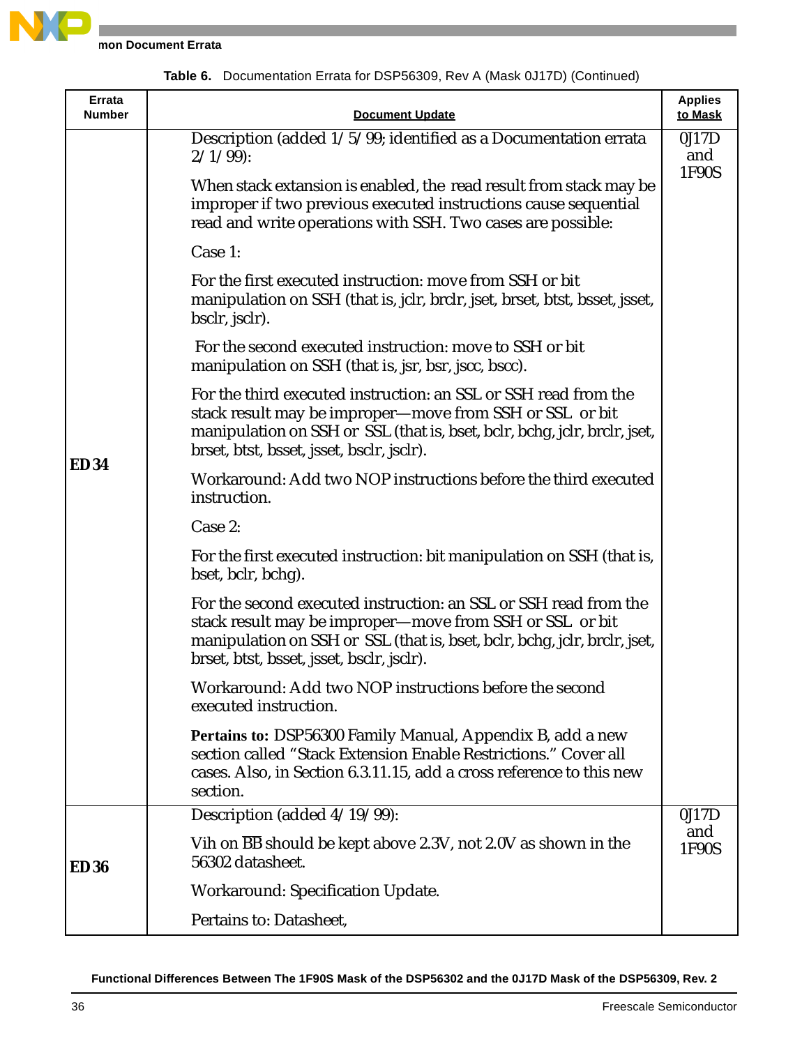

| Errata<br><b>Number</b> | <b>Document Update</b>                                                                                                                                                                                                                                 | <b>Applies</b><br>to Mask |
|-------------------------|--------------------------------------------------------------------------------------------------------------------------------------------------------------------------------------------------------------------------------------------------------|---------------------------|
|                         | Description (added 1/5/99; identified as a Documentation errata<br>$2/1/99$ :                                                                                                                                                                          | 0J17D<br>and              |
|                         | When stack extansion is enabled, the read result from stack may be<br>improper if two previous executed instructions cause sequential<br>read and write operations with SSH. Two cases are possible:                                                   | 1F90S                     |
|                         | Case 1:                                                                                                                                                                                                                                                |                           |
|                         | For the first executed instruction: move from SSH or bit<br>manipulation on SSH (that is, jclr, brclr, jset, brset, btst, bsset, jsset,<br>bsclr, jsclr).                                                                                              |                           |
|                         | For the second executed instruction: move to SSH or bit<br>manipulation on SSH (that is, jsr, bsr, jscc, bscc).                                                                                                                                        |                           |
| <b>ED34</b>             | For the third executed instruction: an SSL or SSH read from the<br>stack result may be improper—move from SSH or SSL or bit<br>manipulation on SSH or SSL (that is, bset, bclr, bchg, jclr, brclr, jset,<br>brset, btst, bsset, jsset, bsclr, jsclr).  |                           |
|                         | Workaround: Add two NOP instructions before the third executed<br>instruction.                                                                                                                                                                         |                           |
|                         | Case 2:                                                                                                                                                                                                                                                |                           |
|                         | For the first executed instruction: bit manipulation on SSH (that is,<br>bset, bclr, bchg).                                                                                                                                                            |                           |
|                         | For the second executed instruction: an SSL or SSH read from the<br>stack result may be improper-move from SSH or SSL or bit<br>manipulation on SSH or SSL (that is, bset, bclr, bchg, jclr, brclr, jset,<br>brset, btst, bsset, jsset, bsclr, jsclr). |                           |
|                         | Workaround: Add two NOP instructions before the second<br>executed instruction.                                                                                                                                                                        |                           |
|                         | Pertains to: DSP56300 Family Manual, Appendix B, add a new<br>section called "Stack Extension Enable Restrictions." Cover all<br>cases. Also, in Section 6.3.11.15, add a cross reference to this new<br>section.                                      |                           |
|                         | Description (added 4/19/99):                                                                                                                                                                                                                           | 0J17D                     |
| <b>ED36</b>             | Vih on $\overline{BB}$ should be kept above 2.3V, not 2.0V as shown in the<br>56302 datasheet.                                                                                                                                                         | and<br>1F90S              |
|                         | Workaround: Specification Update.                                                                                                                                                                                                                      |                           |
|                         | Pertains to: Datasheet,                                                                                                                                                                                                                                |                           |

**Table 6.** Documentation Errata for DSP56309, Rev A (Mask 0J17D) (Continued)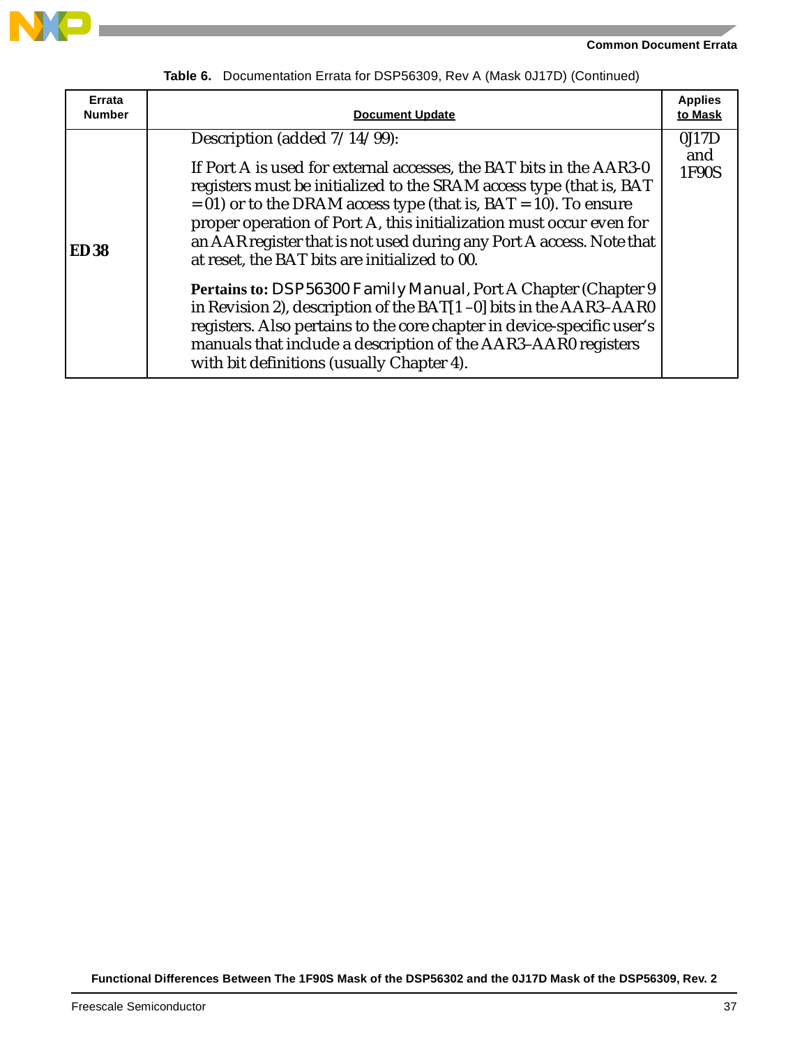



| Errata<br><b>Number</b> | <b>Document Update</b>                                                                                                                                                                                                                                                                                                                                                                                                                                                                                                                                                                                                                                                                                                                                                                        | <b>Applies</b><br>to Mask |
|-------------------------|-----------------------------------------------------------------------------------------------------------------------------------------------------------------------------------------------------------------------------------------------------------------------------------------------------------------------------------------------------------------------------------------------------------------------------------------------------------------------------------------------------------------------------------------------------------------------------------------------------------------------------------------------------------------------------------------------------------------------------------------------------------------------------------------------|---------------------------|
| <b>ED38</b>             | Description (added $7/14/99$ ):<br>If Port A is used for external accesses, the BAT bits in the AAR3-0<br>registers must be initialized to the SRAM access type (that is, BAT<br>$= 01$ ) or to the DRAM access type (that is, BAT $= 10$ ). To ensure<br>proper operation of Port A, this initialization must occur even for<br>an AAR register that is not used during any Port A access. Note that<br>at reset, the BAT bits are initialized to 00.<br>Pertains to: <i>DSP56300 Family Manual</i> , Port A Chapter (Chapter 9<br>in Revision 2), description of the BAT[1-0] bits in the AAR3-AAR0<br>registers. Also pertains to the core chapter in device-specific user's<br>manuals that include a description of the AAR3-AAR0 registers<br>with bit definitions (usually Chapter 4). | 0J17D<br>and<br>1F90S     |

**Table 6.** Documentation Errata for DSP56309, Rev A (Mask 0J17D) (Continued)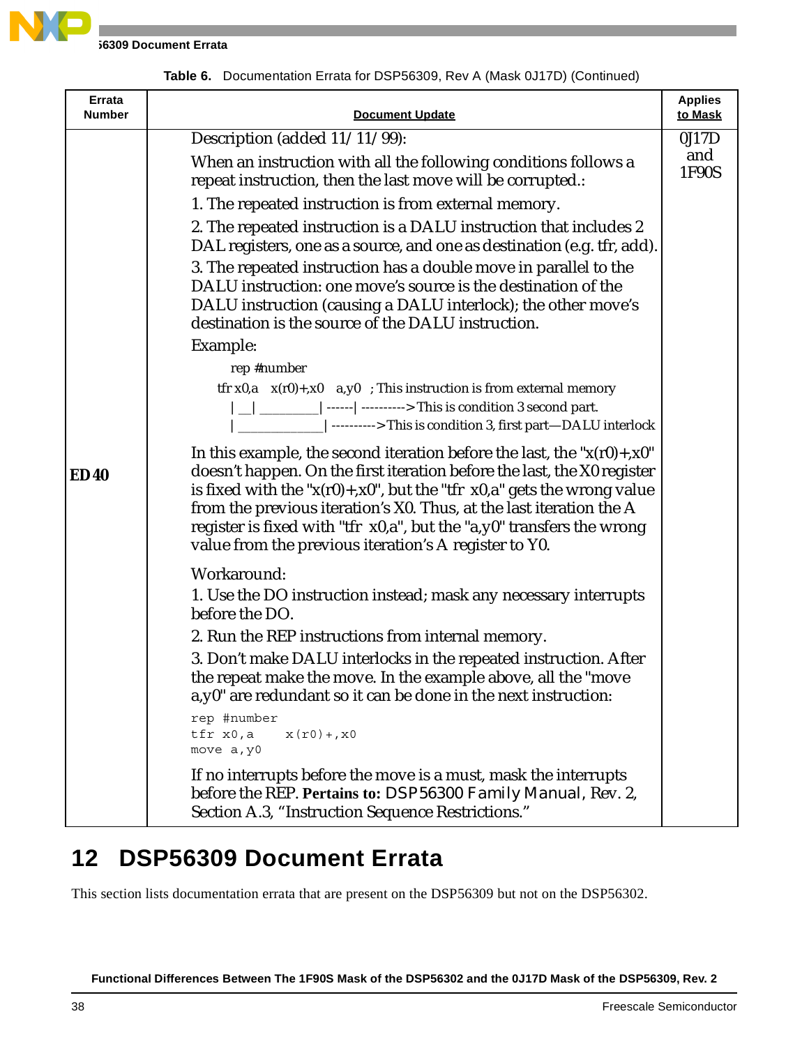

**16309 Document Errata** 

|  |  | Table 6. Documentation Errata for DSP56309, Rev A (Mask 0J17D) (Continued) |  |  |
|--|--|----------------------------------------------------------------------------|--|--|
|--|--|----------------------------------------------------------------------------|--|--|

| Errata<br><b>Number</b> | <b>Document Update</b>                                                                                                                                                                                                                                                                                                                                                                                                                             | <b>Applies</b><br>to Mask |
|-------------------------|----------------------------------------------------------------------------------------------------------------------------------------------------------------------------------------------------------------------------------------------------------------------------------------------------------------------------------------------------------------------------------------------------------------------------------------------------|---------------------------|
|                         | Description (added 11/11/99):                                                                                                                                                                                                                                                                                                                                                                                                                      | 0J17D                     |
|                         | When an instruction with all the following conditions follows a<br>repeat instruction, then the last move will be corrupted.:                                                                                                                                                                                                                                                                                                                      | and<br>1F90S              |
|                         | 1. The repeated instruction is from external memory.                                                                                                                                                                                                                                                                                                                                                                                               |                           |
| <b>ED40</b>             | 2. The repeated instruction is a DALU instruction that includes 2<br>DAL registers, one as a source, and one as destination (e.g. tfr, add).                                                                                                                                                                                                                                                                                                       |                           |
|                         | 3. The repeated instruction has a double move in parallel to the<br>DALU instruction: one move's source is the destination of the<br>DALU instruction (causing a DALU interlock); the other move's<br>destination is the source of the DALU instruction.                                                                                                                                                                                           |                           |
|                         | Example:                                                                                                                                                                                                                                                                                                                                                                                                                                           |                           |
|                         | rep #number                                                                                                                                                                                                                                                                                                                                                                                                                                        |                           |
|                         | tfr x0,a $x(r0)$ +,x0 a,y0 ; This instruction is from external memory<br>$\Box$   ________   ------   ----------> This is condition 3 second part.<br> ---------> This is condition 3, first part-DALU interlock                                                                                                                                                                                                                                   |                           |
|                         | In this example, the second iteration before the last, the " $x(r0) + x0$ "<br>doesn't happen. On the first iteration before the last, the X0 register<br>is fixed with the " $x(r0) + x0$ ", but the "tfr $x0$ , a" gets the wrong value<br>from the previous iteration's X0. Thus, at the last iteration the A<br>register is fixed with "tfr x0,a", but the "a,y0" transfers the wrong<br>value from the previous iteration's A register to Y0. |                           |
|                         | Workaround:                                                                                                                                                                                                                                                                                                                                                                                                                                        |                           |
|                         | 1. Use the DO instruction instead; mask any necessary interrupts<br>before the DO.                                                                                                                                                                                                                                                                                                                                                                 |                           |
|                         | 2. Run the REP instructions from internal memory.                                                                                                                                                                                                                                                                                                                                                                                                  |                           |
|                         | 3. Don't make DALU interlocks in the repeated instruction. After<br>the repeat make the move. In the example above, all the "move"<br>a, y0" are redundant so it can be done in the next instruction:                                                                                                                                                                                                                                              |                           |
|                         | rep #number<br>tfr x0,a<br>$x(r0) +$ , $x0$<br>move a, y0                                                                                                                                                                                                                                                                                                                                                                                          |                           |
|                         | If no interrupts before the move is a must, mask the interrupts<br>before the REP. Pertains to: DSP56300 Family Manual, Rev. 2,<br>Section A.3, "Instruction Sequence Restrictions."                                                                                                                                                                                                                                                               |                           |

### **12 DSP56309 Document Errata**

This section lists documentation errata that are present on the DSP56309 but not on the DSP56302.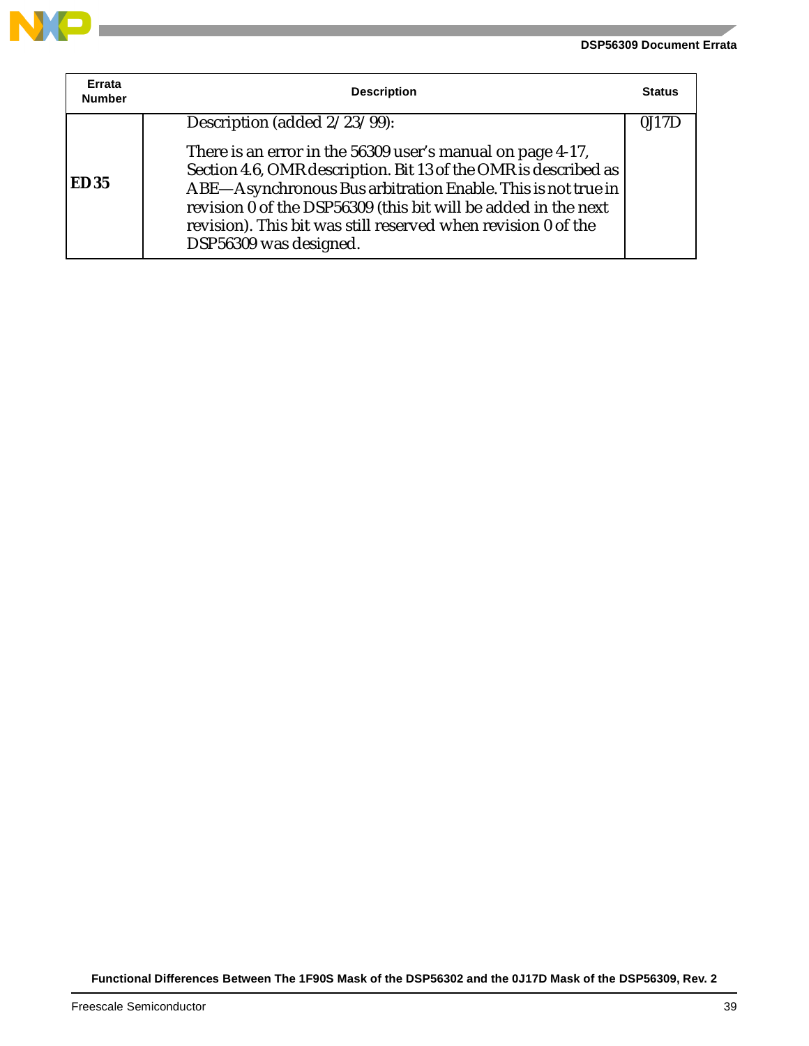#### **DSP56309 Document Errata**



**Contract** 

| Errata<br><b>Number</b> | <b>Description</b>                                                                                                                                                                                                                                                                           | <b>Status</b> |
|-------------------------|----------------------------------------------------------------------------------------------------------------------------------------------------------------------------------------------------------------------------------------------------------------------------------------------|---------------|
| <b>ED35</b>             | Description (added 2/23/99):<br>There is an error in the 56309 user's manual on page 4-17,                                                                                                                                                                                                   | 0J17I         |
|                         | Section 4.6, OMR description. Bit 13 of the OMR is described as<br>ABE-Asynchronous Bus arbitration Enable. This is not true in<br>revision 0 of the DSP56309 (this bit will be added in the next<br>revision). This bit was still reserved when revision 0 of the<br>DSP56309 was designed. |               |